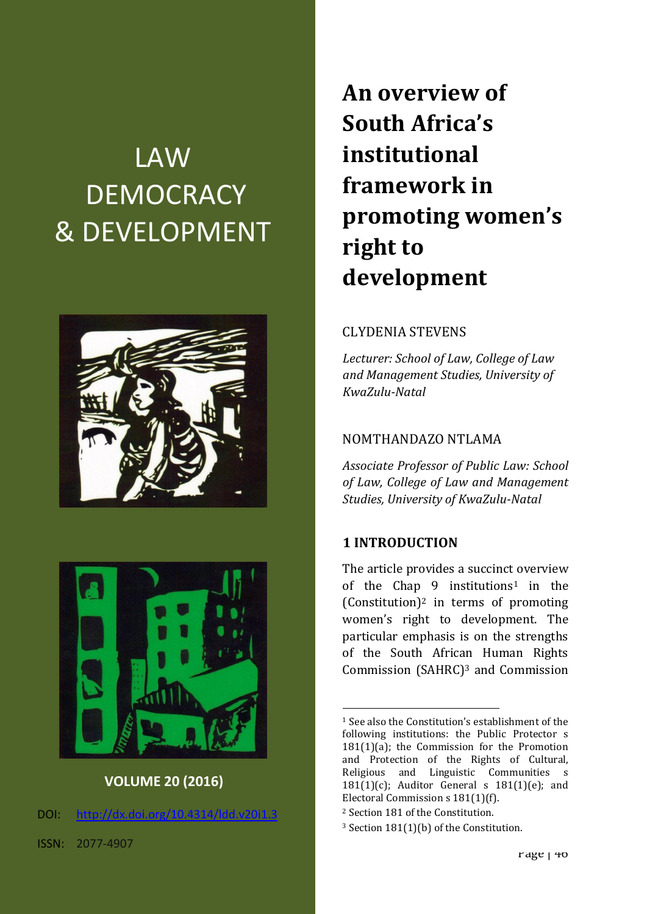# LAW **DEMOCRACY** & DEVELOPMENT





**VOLUME 20 (2016)**

DOI: [http://dx.doi.org/10.4314/ldd.v20i1.3](http://dx.doi.org/10.4314/ldd.v20i1.)

**An overview of South Africa's institutional framework in promoting women's right to development**

#### CLYDENIA STEVENS

*Lecturer: School of Law, College of Law and Management Studies, University of KwaZulu-Natal*

#### NOMTHANDAZO NTLAMA

*Associate Professor of Public Law: School of Law, College of Law and Management Studies, University of KwaZulu-Natal*

#### **1 INTRODUCTION**

<u>.</u>

The article provides a succinct overview of the Chap 9 institutions<sup>1</sup> in the (Constitution)<sup>2</sup> in terms of promoting women's right to development. The particular emphasis is on the strengths of the South African Human Rights Commission (SAHRC)<sup>3</sup> and Commission

<sup>2</sup> Section 181 of the Constitution.

<sup>&</sup>lt;sup>1</sup> See also the Constitution's establishment of the following institutions: the Public Protector s 181(1)(a); the Commission for the Promotion and Protection of the Rights of Cultural, Religious and Linguistic Communities s  $181(1)(c)$ ; Auditor General s  $181(1)(e)$ ; and Electoral Commission s 181(1)(f).

<sup>3</sup> Section 181(1)(b) of the Constitution.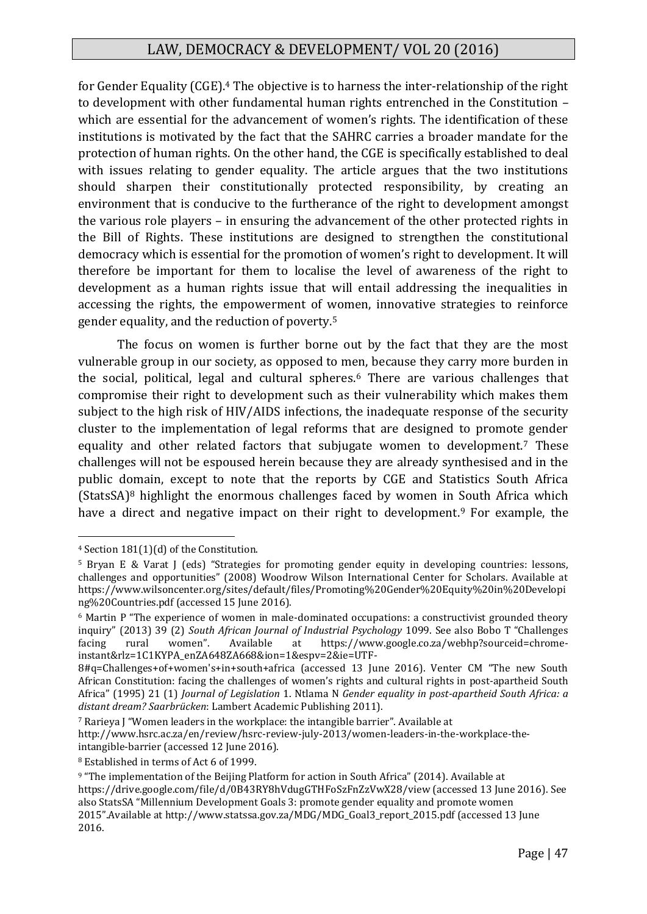for Gender Equality (CGE).<sup>4</sup> The objective is to harness the inter-relationship of the right to development with other fundamental human rights entrenched in the Constitution – which are essential for the advancement of women's rights. The identification of these institutions is motivated by the fact that the SAHRC carries a broader mandate for the protection of human rights. On the other hand, the CGE is specifically established to deal with issues relating to gender equality. The article argues that the two institutions should sharpen their constitutionally protected responsibility, by creating an environment that is conducive to the furtherance of the right to development amongst the various role players – in ensuring the advancement of the other protected rights in the Bill of Rights. These institutions are designed to strengthen the constitutional democracy which is essential for the promotion of women's right to development. It will therefore be important for them to localise the level of awareness of the right to development as a human rights issue that will entail addressing the inequalities in accessing the rights, the empowerment of women, innovative strategies to reinforce gender equality, and the reduction of poverty.<sup>5</sup>

The focus on women is further borne out by the fact that they are the most vulnerable group in our society, as opposed to men, because they carry more burden in the social, political, legal and cultural spheres.<sup>6</sup> There are various challenges that compromise their right to development such as their vulnerability which makes them subject to the high risk of HIV/AIDS infections, the inadequate response of the security cluster to the implementation of legal reforms that are designed to promote gender equality and other related factors that subjugate women to development.<sup>7</sup> These challenges will not be espoused herein because they are already synthesised and in the public domain, except to note that the reports by CGE and Statistics South Africa (StatsSA)<sup>8</sup> highlight the enormous challenges faced by women in South Africa which have a direct and negative impact on their right to development.<sup>9</sup> For example, the

1

<sup>7</sup> Rarieya J "Women leaders in the workplace: the intangible barrier". Available at http://www.hsrc.ac.za/en/review/hsrc-review-july-2013/women-leaders-in-the-workplace-theintangible-barrier (accessed 12 June 2016).

<sup>4</sup> Section 181(1)(d) of the Constitution.

<sup>5</sup> Bryan E & Varat J (eds) "Strategies for promoting gender equity in developing countries: lessons, challenges and opportunities" (2008) Woodrow Wilson International Center for Scholars. Available at https://www.wilsoncenter.org/sites/default/files/Promoting%20Gender%20Equity%20in%20Developi ng%20Countries.pdf (accessed 15 June 2016).

<sup>6</sup> Martin P "The experience of women in male-dominated occupations: a constructivist grounded theory inquiry" (2013) 39 (2) *South African Journal of Industrial Psychology* 1099. See also Bobo T "Challenges facing rural women". Available at https://www.google.co.za/webhp?sourceid=chromeinstant&rlz=1C1KYPA\_enZA648ZA668&ion=1&espv=2&ie=UTF-

<sup>8#</sup>q=Challenges+of+women's+in+south+africa (accessed 13 June 2016). Venter CM "The new South African Constitution: facing the challenges of women's rights and cultural rights in post-apartheid South Africa" (1995) 21 (1) *Journal of Legislation* 1. Ntlama N *Gender equality in post-apartheid South Africa: a distant dream? Saarbrücken*: Lambert Academic Publishing 2011).

<sup>8</sup> Established in terms of Act 6 of 1999.

<sup>9</sup> "The implementation of the Beijing Platform for action in South Africa" (2014). Available at

https://drive.google.com/file/d/0B43RY8hVdugGTHFoSzFnZzVwX28/view (accessed 13 June 2016). See also StatsSA "Millennium Development Goals 3: promote gender equality and promote women

<sup>2015&</sup>quot;.Available at http://www.statssa.gov.za/MDG/MDG\_Goal3\_report\_2015.pdf (accessed 13 June 2016.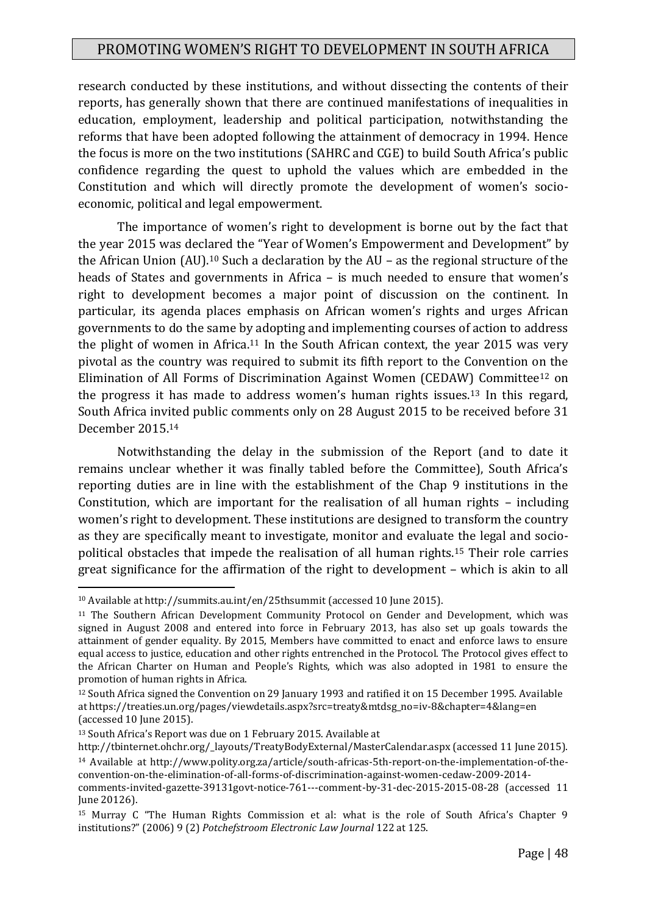research conducted by these institutions, and without dissecting the contents of their reports, has generally shown that there are continued manifestations of inequalities in education, employment, leadership and political participation, notwithstanding the reforms that have been adopted following the attainment of democracy in 1994. Hence the focus is more on the two institutions (SAHRC and CGE) to build South Africa's public confidence regarding the quest to uphold the values which are embedded in the Constitution and which will directly promote the development of women's socioeconomic, political and legal empowerment.

The importance of women's right to development is borne out by the fact that the year 2015 was declared the "Year of Women's Empowerment and Development" by the African Union (AU).<sup>10</sup> Such a declaration by the AU – as the regional structure of the heads of States and governments in Africa – is much needed to ensure that women's right to development becomes a major point of discussion on the continent. In particular, its agenda places emphasis on African women's rights and urges African governments to do the same by adopting and implementing courses of action to address the plight of women in Africa.<sup>11</sup> In the South African context, the year 2015 was very pivotal as the country was required to submit its fifth report to the Convention on the Elimination of All Forms of Discrimination Against Women (CEDAW) Committee<sup>12</sup> on the progress it has made to address women's human rights issues.<sup>13</sup> In this regard, South Africa invited public comments only on 28 August 2015 to be received before 31 December 2015.<sup>14</sup>

Notwithstanding the delay in the submission of the Report (and to date it remains unclear whether it was finally tabled before the Committee), South Africa's reporting duties are in line with the establishment of the Chap 9 institutions in the Constitution, which are important for the realisation of all human rights – including women's right to development. These institutions are designed to transform the country as they are specifically meant to investigate, monitor and evaluate the legal and sociopolitical obstacles that impede the realisation of all human rights.<sup>15</sup> Their role carries great significance for the affirmation of the right to development – which is akin to all

<sup>10</sup> Available at http://summits.au.int/en/25thsummit (accessed 10 June 2015).

<sup>11</sup> The Southern African Development Community Protocol on Gender and Development, which was signed in August 2008 and entered into force in February 2013, has also set up goals towards the attainment of gender equality. By 2015, Members have committed to enact and enforce laws to ensure equal access to justice, education and other rights entrenched in the Protocol. The Protocol gives effect to the African Charter on Human and People's Rights, which was also adopted in 1981 to ensure the promotion of human rights in Africa.

<sup>12</sup> South Africa signed the Convention on 29 January 1993 and ratified it on 15 December 1995. Available at https://treaties.un.org/pages/viewdetails.aspx?src=treaty&mtdsg\_no=iv-8&chapter=4&lang=en (accessed 10 June 2015).

<sup>13</sup> South Africa's Report was due on 1 February 2015. Available at

http://tbinternet.ohchr.org/\_layouts/TreatyBodyExternal/MasterCalendar.aspx (accessed 11 June 2015). <sup>14</sup> Available at http://www.polity.org.za/article/south-africas-5th-report-on-the-implementation-of-the-

convention-on-the-elimination-of-all-forms-of-discrimination-against-women-cedaw-2009-2014-

comments-invited-gazette-39131govt-notice-761---comment-by-31-dec-2015-2015-08-28 (accessed 11 June 20126).

<sup>15</sup> Murray C "The Human Rights Commission et al: what is the role of South Africa's Chapter 9 institutions?" (2006) 9 (2) *Potchefstroom Electronic Law Journal* 122 at 125.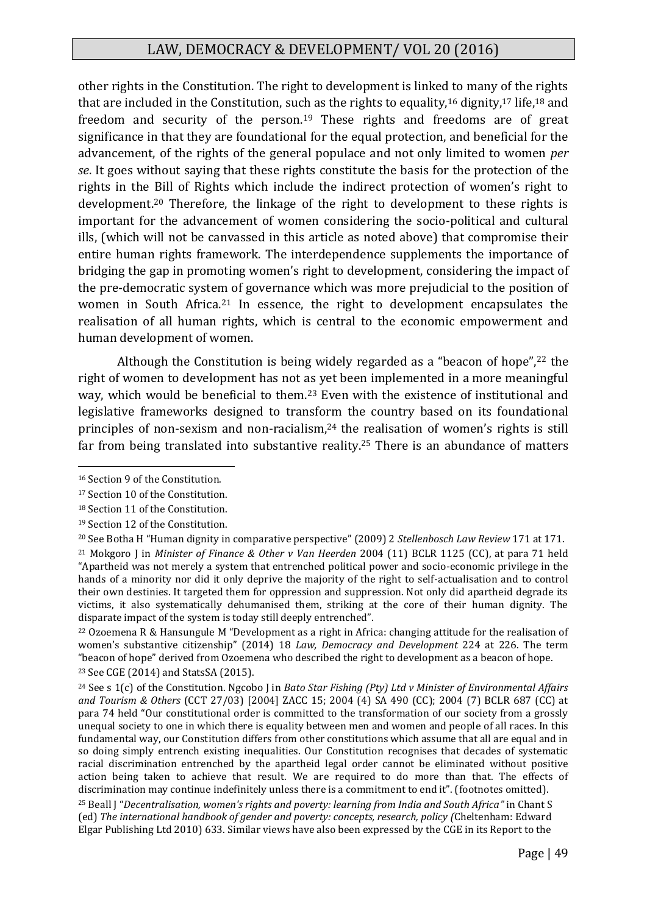other rights in the Constitution. The right to development is linked to many of the rights that are included in the Constitution, such as the rights to equality,<sup>16</sup> dignity,<sup>17</sup> life,<sup>18</sup> and freedom and security of the person.<sup>19</sup> These rights and freedoms are of great significance in that they are foundational for the equal protection, and beneficial for the advancement, of the rights of the general populace and not only limited to women *per se*. It goes without saying that these rights constitute the basis for the protection of the rights in the Bill of Rights which include the indirect protection of women's right to development.<sup>20</sup> Therefore, the linkage of the right to development to these rights is important for the advancement of women considering the socio-political and cultural ills, (which will not be canvassed in this article as noted above) that compromise their entire human rights framework. The interdependence supplements the importance of bridging the gap in promoting women's right to development, considering the impact of the pre-democratic system of governance which was more prejudicial to the position of women in South Africa.<sup>21</sup> In essence, the right to development encapsulates the realisation of all human rights, which is central to the economic empowerment and human development of women.

Although the Constitution is being widely regarded as a "beacon of hope",<sup>22</sup> the right of women to development has not as yet been implemented in a more meaningful way, which would be beneficial to them.<sup>23</sup> Even with the existence of institutional and legislative frameworks designed to transform the country based on its foundational principles of non-sexism and non-racialism,<sup>24</sup> the realisation of women's rights is still far from being translated into substantive reality.<sup>25</sup> There is an abundance of matters

1

<sup>22</sup> Ozoemena R & Hansungule M "Development as a right in Africa: changing attitude for the realisation of women's substantive citizenship" (2014) 18 *Law, Democracy and Development* 224 at 226. The term "beacon of hope" derived from Ozoemena who described the right to development as a beacon of hope. <sup>23</sup> See CGE (2014) and StatsSA (2015).

<sup>16</sup> Section 9 of the Constitution.

<sup>17</sup> Section 10 of the Constitution.

<sup>18</sup> Section 11 of the Constitution.

<sup>19</sup> Section 12 of the Constitution.

<sup>20</sup> See Botha H "Human dignity in comparative perspective" (2009) 2 *Stellenbosch Law Review* 171 at 171.

<sup>21</sup> Mokgoro J in *Minister of Finance & Other v Van Heerden* 2004 (11) BCLR 1125 (CC), at para 71 held "Apartheid was not merely a system that entrenched political power and socio-economic privilege in the hands of a minority nor did it only deprive the majority of the right to self-actualisation and to control their own destinies. It targeted them for oppression and suppression. Not only did apartheid degrade its victims, it also systematically dehumanised them, striking at the core of their human dignity. The disparate impact of the system is today still deeply entrenched".

<sup>24</sup> See s 1(c) of the Constitution. Ngcobo J in *Bato Star Fishing (Pty) Ltd v Minister of Environmental Affairs and Tourism & Others* (CCT 27/03) [2004] ZACC 15; 2004 (4) SA 490 (CC); 2004 (7) BCLR 687 (CC) at para 74 held "Our constitutional order is committed to the transformation of our society from a grossly unequal society to one in which there is equality between men and women and people of all races. In this fundamental way, our Constitution differs from other constitutions which assume that all are equal and in so doing simply entrench existing inequalities. Our Constitution recognises that decades of systematic racial discrimination entrenched by the apartheid legal order cannot be eliminated without positive action being taken to achieve that result. We are required to do more than that. The effects of discrimination may continue indefinitely unless there is a commitment to end it". (footnotes omitted).

<sup>25</sup> Beall J "*[Decentralisation, women's rights and poverty: learning from India and South Africa](http://eprints.lse.ac.uk/52283/)"* in Chant S (ed) *The international handbook of gender and poverty: concepts, research, policy (*Cheltenham: Edward Elgar Publishing Ltd 2010) 633. Similar views have also been expressed by the CGE in its Report to the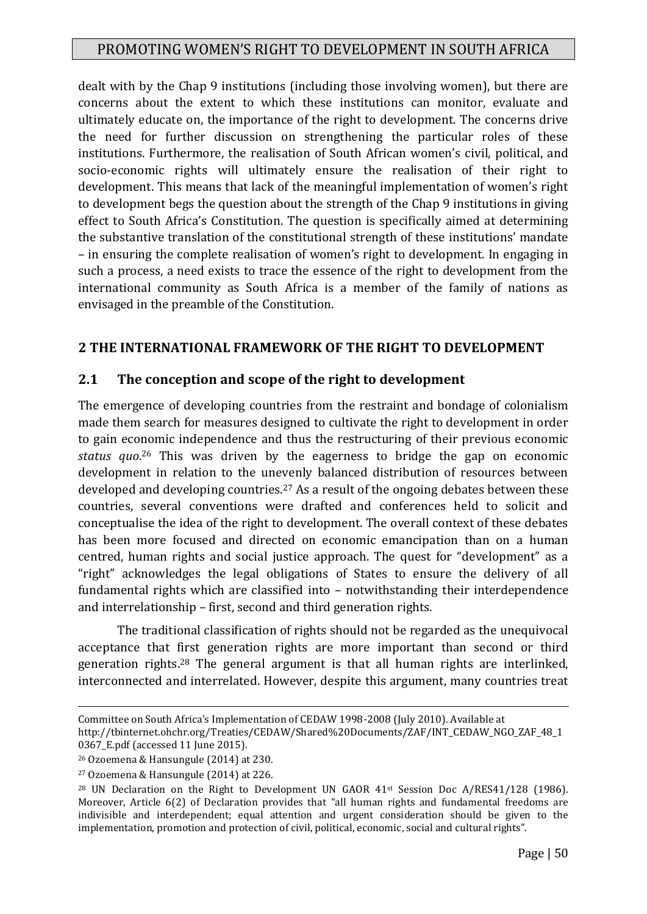dealt with by the Chap 9 institutions (including those involving women), but there are concerns about the extent to which these institutions can monitor, evaluate and ultimately educate on, the importance of the right to development. The concerns drive the need for further discussion on strengthening the particular roles of these institutions. Furthermore, the realisation of South African women's civil, political, and socio-economic rights will ultimately ensure the realisation of their right to development. This means that lack of the meaningful implementation of women's right to development begs the question about the strength of the Chap 9 institutions in giving effect to South Africa's Constitution. The question is specifically aimed at determining the substantive translation of the constitutional strength of these institutions' mandate – in ensuring the complete realisation of women's right to development. In engaging in such a process, a need exists to trace the essence of the right to development from the international community as South Africa is a member of the family of nations as envisaged in the preamble of the Constitution.

## **2 THE INTERNATIONAL FRAMEWORK OF THE RIGHT TO DEVELOPMENT**

#### **2.1 The conception and scope of the right to development**

The emergence of developing countries from the restraint and bondage of colonialism made them search for measures designed to cultivate the right to development in order to gain economic independence and thus the restructuring of their previous economic *status quo*. <sup>26</sup> This was driven by the eagerness to bridge the gap on economic development in relation to the unevenly balanced distribution of resources between developed and developing countries.<sup>27</sup> As a result of the ongoing debates between these countries, several conventions were drafted and conferences held to solicit and conceptualise the idea of the right to development. The overall context of these debates has been more focused and directed on economic emancipation than on a human centred, human rights and social justice approach. The quest for "development" as a "right" acknowledges the legal obligations of States to ensure the delivery of all fundamental rights which are classified into – notwithstanding their interdependence and interrelationship – first, second and third generation rights.

The traditional classification of rights should not be regarded as the unequivocal acceptance that first generation rights are more important than second or third generation rights.<sup>28</sup> The general argument is that all human rights are interlinked, interconnected and interrelated. However, despite this argument, many countries treat

<sup>1</sup> Committee on South Africa's Implementation of CEDAW 1998-2008 (July 2010). Available at http://tbinternet.ohchr.org/Treaties/CEDAW/Shared%20Documents/ZAF/INT\_CEDAW\_NGO\_ZAF\_48\_1 0367\_E.pdf (accessed 11 June 2015).

<sup>26</sup> Ozoemena & Hansungule (2014) at 230.

<sup>27</sup> Ozoemena & Hansungule (2014) at 226.

<sup>&</sup>lt;sup>28</sup> UN Declaration on the Right to Development UN GAOR 41<sup>st</sup> Session Doc A/RES41/128 (1986). Moreover, Article 6(2) of Declaration provides that "all human rights and fundamental freedoms are indivisible and interdependent; equal attention and urgent consideration should be given to the implementation, promotion and protection of civil, political, economic, social and cultural rights".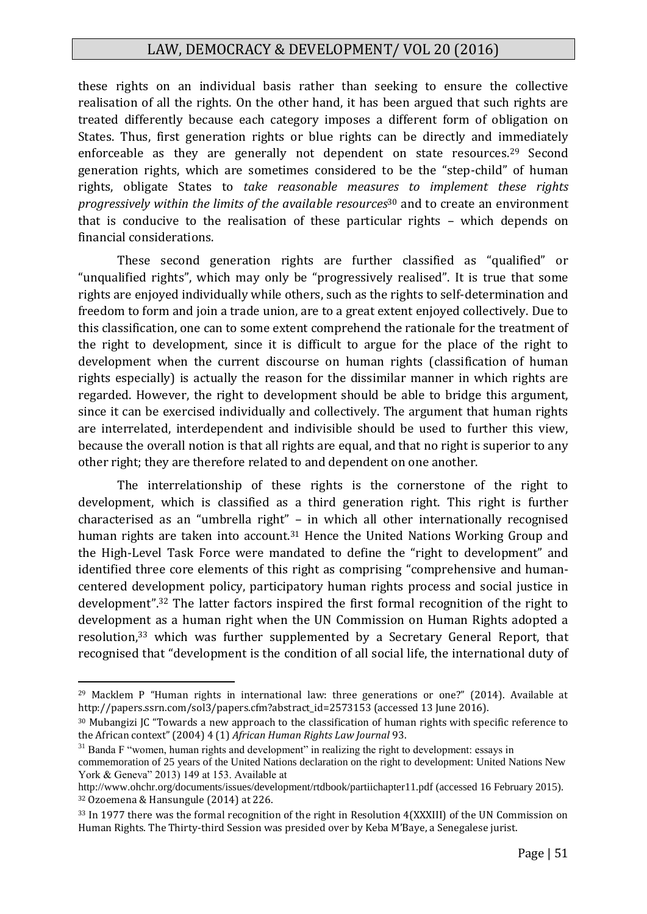these rights on an individual basis rather than seeking to ensure the collective realisation of all the rights. On the other hand, it has been argued that such rights are treated differently because each category imposes a different form of obligation on States. Thus, first generation rights or blue rights can be directly and immediately enforceable as they are generally not dependent on state resources.<sup>29</sup> Second generation rights, which are sometimes considered to be the "step-child" of human rights, obligate States to *take reasonable measures to implement these rights progressively within the limits of the available resources*<sup>30</sup> and to create an environment that is conducive to the realisation of these particular rights – which depends on financial considerations.

These second generation rights are further classified as "qualified" or "unqualified rights", which may only be "progressively realised". It is true that some rights are enjoyed individually while others, such as the rights to self-determination and freedom to form and join a trade union, are to a great extent enjoyed collectively. Due to this classification, one can to some extent comprehend the rationale for the treatment of the right to development, since it is difficult to argue for the place of the right to development when the current discourse on human rights (classification of human rights especially) is actually the reason for the dissimilar manner in which rights are regarded. However, the right to development should be able to bridge this argument, since it can be exercised individually and collectively. The argument that human rights are interrelated, interdependent and indivisible should be used to further this view, because the overall notion is that all rights are equal, and that no right is superior to any other right; they are therefore related to and dependent on one another.

The interrelationship of these rights is the cornerstone of the right to development, which is classified as a third generation right. This right is further characterised as an "umbrella right" – in which all other internationally recognised human rights are taken into account.<sup>31</sup> Hence the United Nations Working Group and the High-Level Task Force were mandated to define the "right to development" and identified three core elements of this right as comprising "comprehensive and humancentered development policy, participatory human rights process and social justice in development".<sup>32</sup> The latter factors inspired the first formal recognition of the right to development as a human right when the UN Commission on Human Rights adopted a resolution,<sup>33</sup> which was further supplemented by a Secretary General Report, that recognised that "development is the condition of all social life, the international duty of

<sup>29</sup> Macklem P "Human rights in international law: three generations or one?" (2014). Available at http://papers.ssrn.com/sol3/papers.cfm?abstract\_id=2573153 (accessed 13 June 2016).

<sup>30</sup> Mubangizi JC "Towards a new approach to the classification of human rights with specific reference to the African context" (2004) 4 (1) *African Human Rights Law Journal* 93.

<sup>&</sup>lt;sup>31</sup> Banda F "women, human rights and development" in realizing the right to development: essays in commemoration of 25 years of the United Nations declaration on the right to development: United Nations New York & Geneva" 2013) 149 at 153. Available at

http://www.ohchr.org/documents/issues/development/rtdbook/partiichapter11.pdf (accessed 16 February 2015). <sup>32</sup> Ozoemena & Hansungule (2014) at 226.

<sup>&</sup>lt;sup>33</sup> In 1977 there was the formal recognition of the right in Resolution 4(XXXIII) of the UN Commission on Human Rights. The Thirty-third Session was presided over by Keba M'Baye, a Senegalese jurist.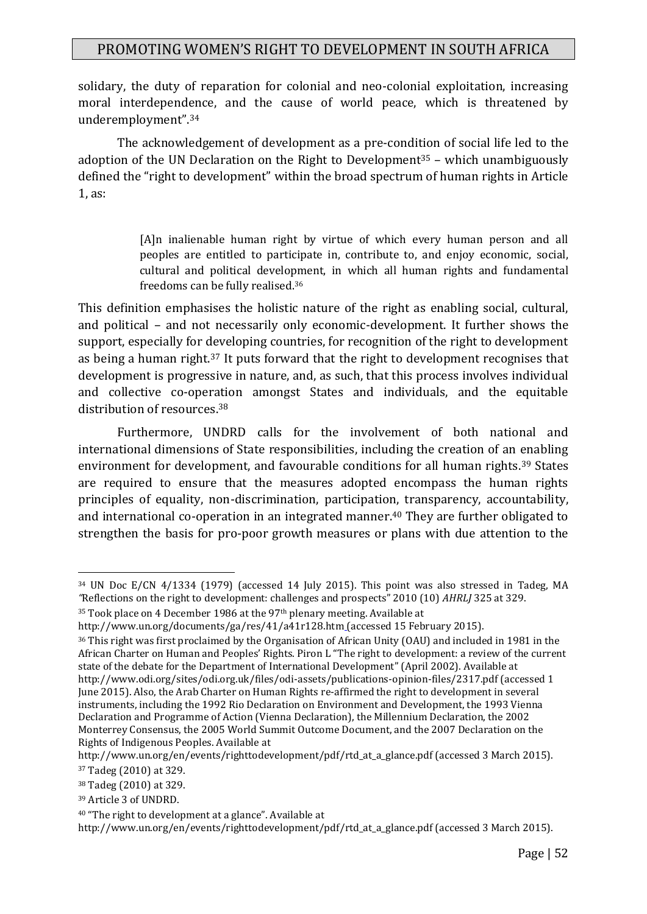solidary, the duty of reparation for colonial and neo-colonial exploitation, increasing moral interdependence, and the cause of world peace, which is threatened by underemployment".<sup>34</sup>

The acknowledgement of development as a pre-condition of social life led to the adoption of the UN Declaration on the Right to Development<sup>35</sup> – which unambiguously defined the "right to development" within the broad spectrum of human rights in Article 1, as:

> [A]n inalienable human right by virtue of which every human person and all peoples are entitled to participate in, contribute to, and enjoy economic, social, cultural and political development, in which all human rights and fundamental freedoms can be fully realised.<sup>36</sup>

This definition emphasises the holistic nature of the right as enabling social, cultural, and political – and not necessarily only economic-development. It further shows the support, especially for developing countries, for recognition of the right to development as being a human right.<sup>37</sup> It puts forward that the right to development recognises that development is progressive in nature, and, as such, that this process involves individual and collective co-operation amongst States and individuals, and the equitable distribution of resources.<sup>38</sup>

Furthermore, UNDRD calls for the involvement of both national and international dimensions of State responsibilities, including the creation of an enabling environment for development, and favourable conditions for all human rights.<sup>39</sup> States are required to ensure that the measures adopted encompass the human rights principles of equality, non-discrimination, participation, transparency, accountability, and international co-operation in an integrated manner.<sup>40</sup> They are further obligated to strengthen the basis for pro-poor growth measures or plans with due attention to the

<sup>34</sup> UN Doc E/CN 4/1334 (1979) (accessed 14 July 2015). This point was also stressed in Tadeg, MA *"*Reflections on the right to development: challenges and prospects" 2010 (10) *AHRLJ* 325 at 329.

<sup>&</sup>lt;sup>35</sup> Took place on 4 December 1986 at the 97<sup>th</sup> plenary meeting. Available at

http://www.un.org/documents/ga/res/41/a41r128.htm (accessed 15 February 2015).

<sup>36</sup> This right was first proclaimed by the Organisation of African Unity (OAU) and included in 1981 in the African Charter on Human and Peoples' Rights. Piron L "The right to development: a review of the current state of the debate for the Department of International Development" (April 2002). Available at http://www.odi.org/sites/odi.org.uk/files/odi-assets/publications-opinion-files/2317.pdf (accessed 1 June 2015). Also, the Arab Charter on Human Rights re-affirmed the right to development in several instruments, including the 1992 Rio Declaration on Environment and Development, the 1993 Vienna Declaration and Programme of Action (Vienna Declaration), the Millennium Declaration, the 2002 Monterrey Consensus, the 2005 World Summit Outcome Document, and the 2007 Declaration on the Rights of Indigenous Peoples. Available at

http://www.un.org/en/events/righttodevelopment/pdf/rtd\_at\_a\_glance.pdf (accessed 3 March 2015).

<sup>37</sup> Tadeg (2010) at 329.

<sup>38</sup> Tadeg (2010) at 329.

<sup>39</sup> Article 3 of UNDRD.

<sup>40</sup> "The right to development at a glance". Available at

http://www.un.org/en/events/righttodevelopment/pdf/rtd\_at\_a\_glance.pdf (accessed 3 March 2015).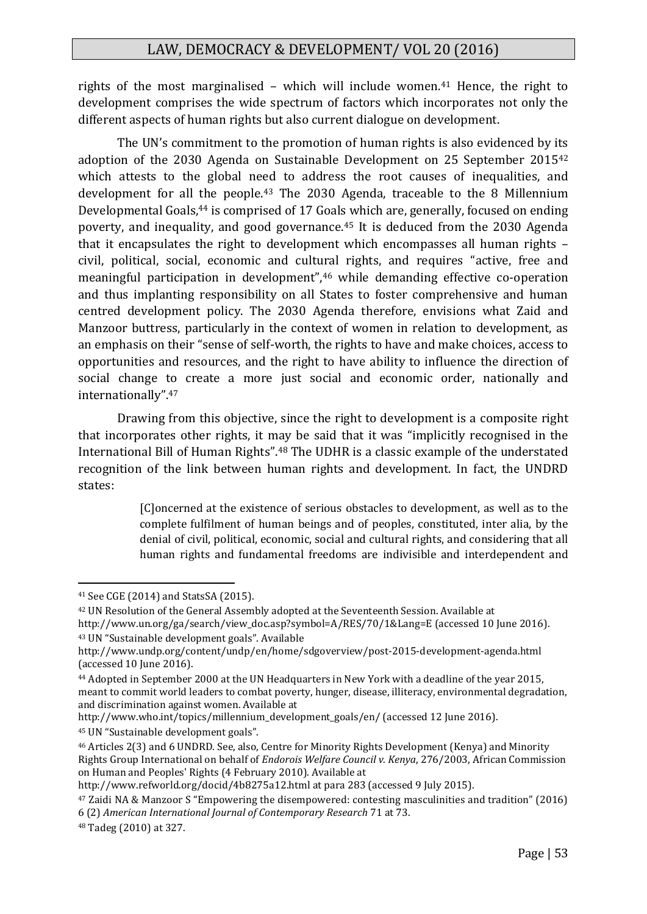rights of the most marginalised – which will include women.<sup>41</sup> Hence, the right to development comprises the wide spectrum of factors which incorporates not only the different aspects of human rights but also current dialogue on development.

The UN's commitment to the promotion of human rights is also evidenced by its adoption of the 2030 Agenda on Sustainable Development on 25 September 2015<sup>42</sup> which attests to the global need to address the root causes of inequalities, and development for all the people.<sup>43</sup> The 2030 Agenda, traceable to the 8 Millennium Developmental Goals,<sup>44</sup> is comprised of 17 Goals which are, generally, focused on ending poverty, and inequality, and good governance.<sup>45</sup> It is deduced from the 2030 Agenda that it encapsulates the right to development which encompasses all human rights – civil, political, social, economic and cultural rights, and requires "active, free and meaningful participation in development",<sup>46</sup> while demanding effective co-operation and thus implanting responsibility on all States to foster comprehensive and human centred development policy. The 2030 Agenda therefore, envisions what Zaid and Manzoor buttress, particularly in the context of women in relation to development, as an emphasis on their "sense of self-worth, the rights to have and make choices, access to opportunities and resources, and the right to have ability to influence the direction of social change to create a more just social and economic order, nationally and internationally".<sup>47</sup>

Drawing from this objective, since the right to development is a composite right that incorporates other rights, it may be said that it was "implicitly recognised in the International Bill of Human Rights".<sup>48</sup> The UDHR is a classic example of the understated recognition of the link between human rights and development. In fact, the UNDRD states:

> [C]oncerned at the existence of serious obstacles to development, as well as to the complete fulfilment of human beings and of peoples, constituted, inter alia, by the denial of civil, political, economic, social and cultural rights, and considering that all human rights and fundamental freedoms are indivisible and interdependent and

<sup>41</sup> See CGE (2014) and StatsSA (2015).

<sup>42</sup> UN Resolution of the General Assembly adopted at the Seventeenth Session. Available at

http://www.un.org/ga/search/view\_doc.asp?symbol=A/RES/70/1&Lang=E (accessed 10 June 2016). <sup>43</sup> UN "Sustainable development goals". Available

http://www.undp.org/content/undp/en/home/sdgoverview/post-2015-development-agenda.html (accessed 10 June 2016).

<sup>44</sup> Adopted in September 2000 at the UN Headquarters in New York with a deadline of the year 2015, meant to commit world leaders to combat poverty, hunger, disease, illiteracy, environmental degradation, and discrimination against women. Available at

http://www.who.int/topics/millennium\_development\_goals/en/ (accessed 12 June 2016). <sup>45</sup> UN "Sustainable development goals".

<sup>46</sup> Articles 2(3) and 6 UNDRD. See, also, Centre for Minority Rights Development (Kenya) and Minority Rights Group International on behalf of *Endorois Welfare Council v. Kenya*, 276/2003, African Commission on Human and Peoples' Rights (4 February 2010). Available at

http://www.refworld.org/docid/4b8275a12.html at para 283 (accessed 9 July 2015).

<sup>47</sup> Zaidi NA & Manzoor S "Empowering the disempowered: contesting masculinities and tradition" (2016) 6 (2) *American International Journal of Contemporary Research* 71 at 73.

<sup>48</sup> Tadeg (2010) at 327.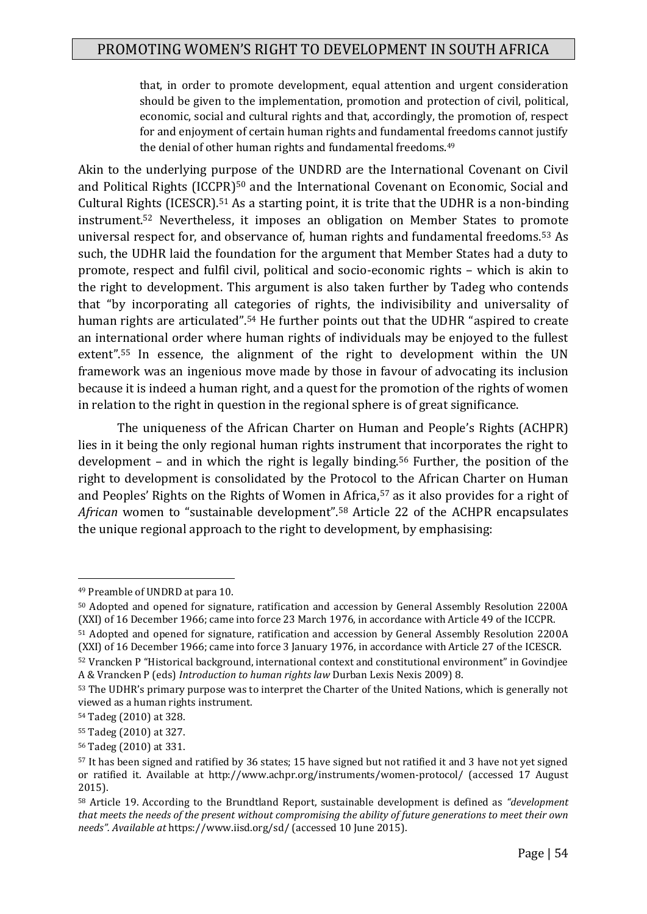that, in order to promote development, equal attention and urgent consideration should be given to the implementation, promotion and protection of civil, political, economic, social and cultural rights and that, accordingly, the promotion of, respect for and enjoyment of certain human rights and fundamental freedoms cannot justify the denial of other human rights and fundamental freedoms.<sup>49</sup>

Akin to the underlying purpose of the UNDRD are the International Covenant on Civil and Political Rights (ICCPR)<sup>50</sup> and the International Covenant on Economic, Social and Cultural Rights (ICESCR).<sup>51</sup> As a starting point, it is trite that the UDHR is a non-binding instrument.<sup>52</sup> Nevertheless, it imposes an obligation on Member States to promote universal respect for, and observance of, human rights and fundamental freedoms.<sup>53</sup> As such, the UDHR laid the foundation for the argument that Member States had a duty to promote, respect and fulfil civil, political and socio-economic rights – which is akin to the right to development. This argument is also taken further by Tadeg who contends that "by incorporating all categories of rights, the indivisibility and universality of human rights are articulated".<sup>54</sup> He further points out that the UDHR "aspired to create an international order where human rights of individuals may be enjoyed to the fullest extent".<sup>55</sup> In essence, the alignment of the right to development within the UN framework was an ingenious move made by those in favour of advocating its inclusion because it is indeed a human right, and a quest for the promotion of the rights of women in relation to the right in question in the regional sphere is of great significance.

The uniqueness of the African Charter on Human and People's Rights (ACHPR) lies in it being the only regional human rights instrument that incorporates the right to development – and in which the right is legally binding.<sup>56</sup> Further, the position of the right to development is consolidated by the Protocol to the African Charter on Human and Peoples' Rights on the Rights of Women in Africa,<sup>57</sup> as it also provides for a right of *African* women to "sustainable development".<sup>58</sup> Article 22 of the ACHPR encapsulates the unique regional approach to the right to development, by emphasising:

<sup>49</sup> Preamble of UNDRD at para 10.

<sup>50</sup> Adopted and opened for signature, ratification and accession by General Assembly Resolution 2200A (XXI) of 16 December 1966; came into force 23 March 1976, in accordance with Article 49 of the ICCPR.

<sup>51</sup> Adopted and opened for signature, ratification and accession by General Assembly Resolution 2200A (XXI) of 16 December 1966; came into force 3 January 1976, in accordance with Article 27 of the ICESCR.

<sup>52</sup> Vrancken P "Historical background, international context and constitutional environment" in Govindjee A & Vrancken P (eds) *Introduction to human rights law* Durban Lexis Nexis 2009) 8.

<sup>53</sup> The UDHR's primary purpose was to interpret the Charter of the United Nations, which is generally not viewed as a human rights instrument.

<sup>54</sup> Tadeg (2010) at 328.

<sup>55</sup> Tadeg (2010) at 327.

<sup>56</sup> Tadeg (2010) at 331.

<sup>57</sup> It has been signed and ratified by 36 states; 15 have signed but not ratified it and 3 have not yet signed or ratified it. Available at http://www.achpr.org/instruments/women-protocol/ (accessed 17 August 2015).

<sup>58</sup> Article 19. According to the Brundtland Report, sustainable development is defined as *"development that meets the needs of the present without compromising the ability of future generations to meet their own needs". Available at* https://www.iisd.org/sd/ (accessed 10 June 2015).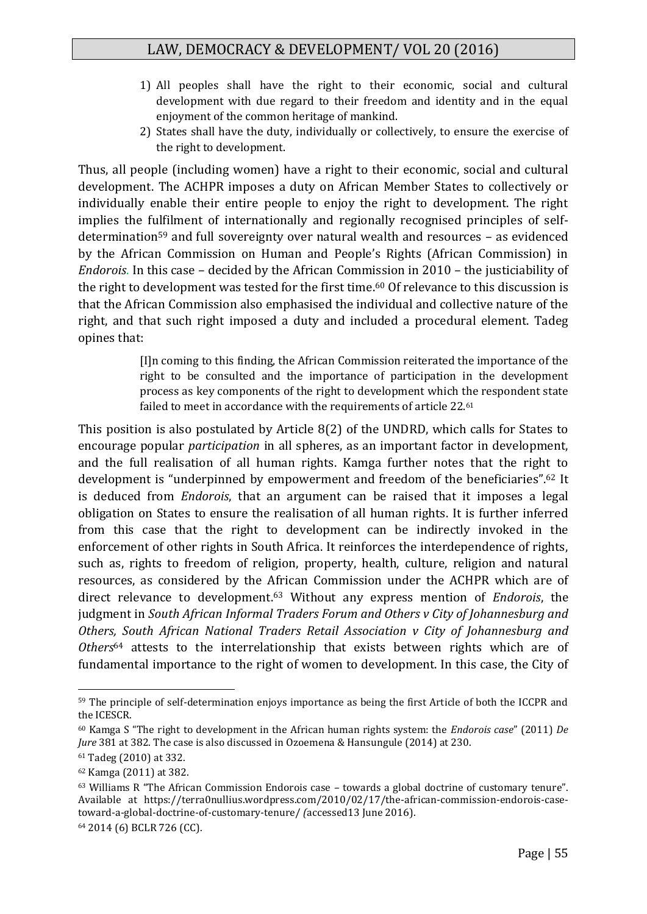- 1) All peoples shall have the right to their economic, social and cultural development with due regard to their freedom and identity and in the equal enjoyment of the common heritage of mankind.
- 2) States shall have the duty, individually or collectively, to ensure the exercise of the right to development.

Thus, all people (including women) have a right to their economic, social and cultural development. The ACHPR imposes a duty on African Member States to collectively or individually enable their entire people to enjoy the right to development. The right implies the fulfilment of internationally and regionally recognised principles of selfdetermination<sup>59</sup> and full sovereignty over natural wealth and resources – as evidenced by the African Commission on Human and People's Rights (African Commission) in *Endorois*. In this case – decided by the African Commission in 2010 – the justiciability of the right to development was tested for the first time.<sup>60</sup> Of relevance to this discussion is that the African Commission also emphasised the individual and collective nature of the right, and that such right imposed a duty and included a procedural element. Tadeg opines that:

> [I]n coming to this finding, the African Commission reiterated the importance of the right to be consulted and the importance of participation in the development process as key components of the right to development which the respondent state failed to meet in accordance with the requirements of article 22.<sup>61</sup>

This position is also postulated by Article 8(2) of the UNDRD, which calls for States to encourage popular *participation* in all spheres, as an important factor in development, and the full realisation of all human rights. Kamga further notes that the right to development is "underpinned by empowerment and freedom of the beneficiaries".<sup>62</sup> It is deduced from *Endorois*, that an argument can be raised that it imposes a legal obligation on States to ensure the realisation of all human rights. It is further inferred from this case that the right to development can be indirectly invoked in the enforcement of other rights in South Africa. It reinforces the interdependence of rights, such as, rights to freedom of religion, property, health, culture, religion and natural resources, as considered by the African Commission under the ACHPR which are of direct relevance to development.<sup>63</sup> Without any express mention of *Endorois*, the judgment in *South African Informal Traders Forum and Others v City of Johannesburg and Others, South African National Traders Retail Association v City of Johannesburg and Others*<sup>64</sup> attests to the interrelationship that exists between rights which are of fundamental importance to the right of women to development. In this case, the City of

<sup>59</sup> The principle of self-determination enjoys importance as being the first Article of both the ICCPR and the ICESCR.

<sup>60</sup> Kamga S "The right to development in the African human rights system: the *Endorois case*" (2011) *De Jure* 381 at 382. The case is also discussed in Ozoemena & Hansungule (2014) at 230.

<sup>61</sup> Tadeg (2010) at 332.

<sup>62</sup> Kamga (2011) at 382.

<sup>63</sup> Williams R "The African Commission Endorois case – towards a global doctrine of customary tenure". Available at https://terra0nullius.wordpress.com/2010/02/17/the-african-commission-endorois-casetoward-a-global-doctrine-of-customary-tenure/ *(*accessed13 June 2016).

<sup>64</sup> 2014 (6) BCLR 726 (CC).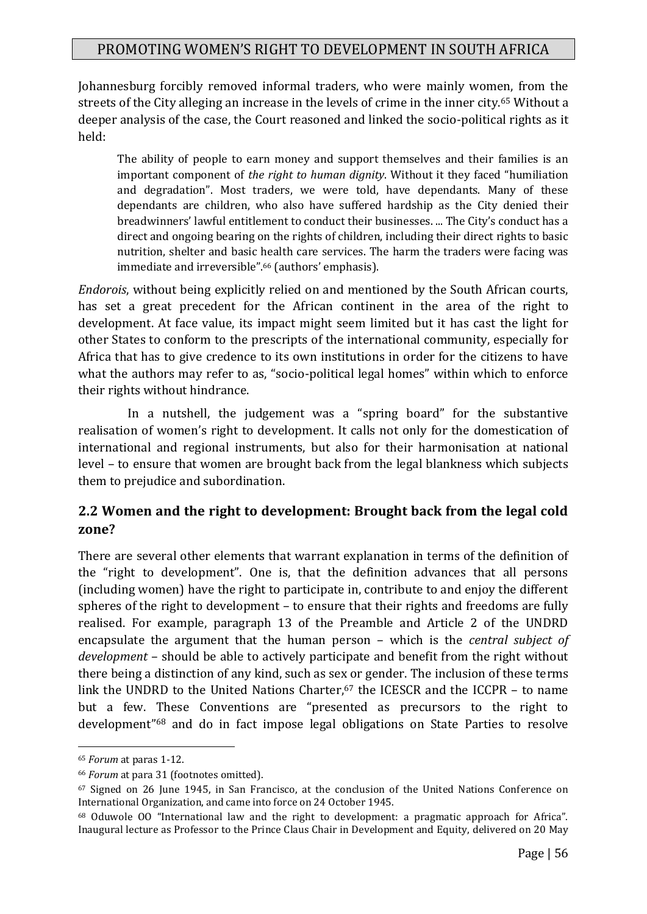Johannesburg forcibly removed informal traders, who were mainly women, from the streets of the City alleging an increase in the levels of crime in the inner city.<sup>65</sup> Without a deeper analysis of the case, the Court reasoned and linked the socio-political rights as it held:

The ability of people to earn money and support themselves and their families is an important component of *the right to human dignity*. Without it they faced "humiliation and degradation". Most traders, we were told, have dependants. Many of these dependants are children, who also have suffered hardship as the City denied their breadwinners' lawful entitlement to conduct their businesses. ... The City's conduct has a direct and ongoing bearing on the rights of children, including their direct rights to basic nutrition, shelter and basic health care services. The harm the traders were facing was immediate and irreversible".<sup>66</sup> (authors' emphasis).

*Endorois*, without being explicitly relied on and mentioned by the South African courts, has set a great precedent for the African continent in the area of the right to development. At face value, its impact might seem limited but it has cast the light for other States to conform to the prescripts of the international community, especially for Africa that has to give credence to its own institutions in order for the citizens to have what the authors may refer to as, "socio-political legal homes" within which to enforce their rights without hindrance.

In a nutshell, the judgement was a "spring board" for the substantive realisation of women's right to development. It calls not only for the domestication of international and regional instruments, but also for their harmonisation at national level – to ensure that women are brought back from the legal blankness which subjects them to prejudice and subordination.

# **2.2 Women and the right to development: Brought back from the legal cold zone?**

There are several other elements that warrant explanation in terms of the definition of the "right to development". One is, that the definition advances that all persons (including women) have the right to participate in, contribute to and enjoy the different spheres of the right to development – to ensure that their rights and freedoms are fully realised. For example, paragraph 13 of the Preamble and Article 2 of the UNDRD encapsulate the argument that the human person – which is the *central subject of development* – should be able to actively participate and benefit from the right without there being a distinction of any kind, such as sex or gender. The inclusion of these terms link the UNDRD to the United Nations Charter,<sup>67</sup> the ICESCR and the ICCPR - to name but a few. These Conventions are "presented as precursors to the right to development"<sup>68</sup> and do in fact impose legal obligations on State Parties to resolve

<sup>65</sup> *Forum* at paras 1-12.

<sup>66</sup> *Forum* at para 31 (footnotes omitted).

<sup>&</sup>lt;sup>67</sup> Signed on 26 June 1945, in San Francisco, at the conclusion of the United Nations Conference on International Organization, and came into force on 24 October 1945.

<sup>68</sup> Oduwole OO "International law and the right to development: a pragmatic approach for Africa". Inaugural lecture as Professor to the Prince Claus Chair in Development and Equity, delivered on 20 May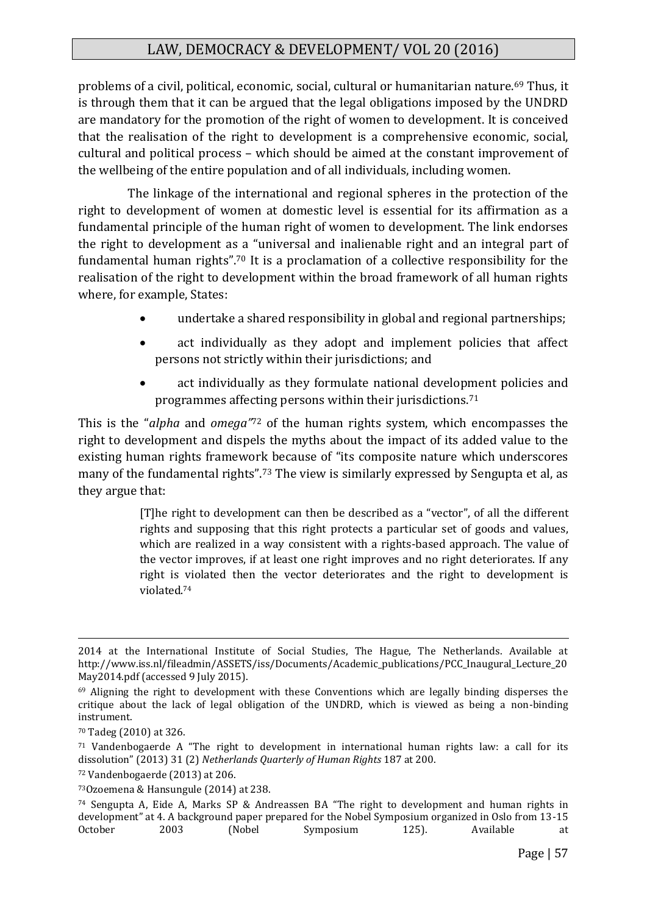problems of a civil, political, economic, social, cultural or humanitarian nature.<sup>69</sup> Thus, it is through them that it can be argued that the legal obligations imposed by the UNDRD are mandatory for the promotion of the right of women to development. It is conceived that the realisation of the right to development is a comprehensive economic, social, cultural and political process – which should be aimed at the constant improvement of the wellbeing of the entire population and of all individuals, including women.

The linkage of the international and regional spheres in the protection of the right to development of women at domestic level is essential for its affirmation as a fundamental principle of the human right of women to development. The link endorses the right to development as a "universal and inalienable right and an integral part of fundamental human rights".<sup>70</sup> It is a proclamation of a collective responsibility for the realisation of the right to development within the broad framework of all human rights where, for example, States:

- undertake a shared responsibility in global and regional partnerships;
- act individually as they adopt and implement policies that affect persons not strictly within their jurisdictions; and
- act individually as they formulate national development policies and programmes affecting persons within their jurisdictions.<sup>71</sup>

This is the "*alpha* and *omega"*<sup>72</sup> of the human rights system, which encompasses the right to development and dispels the myths about the impact of its added value to the existing human rights framework because of "its composite nature which underscores many of the fundamental rights".<sup>73</sup> The view is similarly expressed by Sengupta et al, as they argue that:

> [T]he right to development can then be described as a "vector", of all the different rights and supposing that this right protects a particular set of goods and values, which are realized in a way consistent with a rights-based approach. The value of the vector improves, if at least one right improves and no right deteriorates. If any right is violated then the vector deteriorates and the right to development is violated.<sup>74</sup>

<sup>2014</sup> at the International Institute of Social Studies, The Hague, The Netherlands. Available at http://www.iss.nl/fileadmin/ASSETS/iss/Documents/Academic\_publications/PCC\_Inaugural\_Lecture\_20 May2014.pdf (accessed 9 July 2015).

 $69$  Aligning the right to development with these Conventions which are legally binding disperses the critique about the lack of legal obligation of the UNDRD, which is viewed as being a non-binding instrument.

<sup>70</sup> Tadeg (2010) at 326.

<sup>71</sup> Vandenbogaerde A "The right to development in international human rights law: a call for its dissolution" (2013) 31 (2) *Netherlands Quarterly of Human Rights* 187 at 200.

<sup>72</sup> Vandenbogaerde (2013) at 206.

<sup>73</sup>Ozoemena & Hansungule (2014) at 238.

<sup>74</sup> Sengupta A, Eide A, Marks SP & Andreassen BA "The right to development and human rights in development" at 4. A background paper prepared for the Nobel Symposium organized in Oslo from 13-15 October 2003 (Nobel Symposium 125). Available at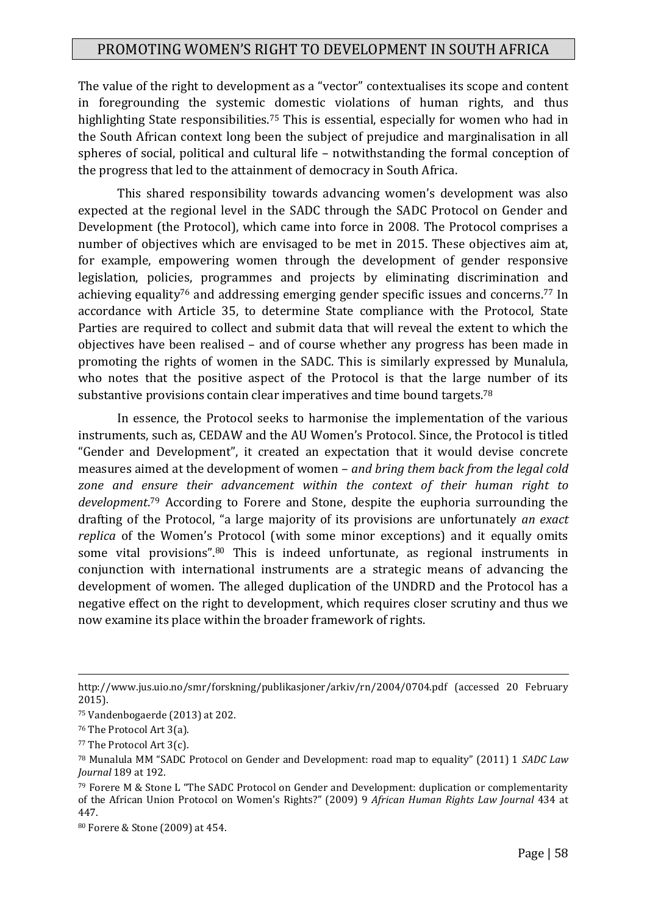The value of the right to development as a "vector" contextualises its scope and content in foregrounding the systemic domestic violations of human rights, and thus highlighting State responsibilities.<sup>75</sup> This is essential, especially for women who had in the South African context long been the subject of prejudice and marginalisation in all spheres of social, political and cultural life – notwithstanding the formal conception of the progress that led to the attainment of democracy in South Africa.

This shared responsibility towards advancing women's development was also expected at the regional level in the SADC through the SADC Protocol on Gender and Development (the Protocol), which came into force in 2008. The Protocol comprises a number of objectives which are envisaged to be met in 2015. These objectives aim at, for example, empowering women through the development of gender responsive legislation, policies, programmes and projects by eliminating discrimination and achieving equality<sup>76</sup> and addressing emerging gender specific issues and concerns.<sup>77</sup> In accordance with Article 35, to determine State compliance with the Protocol, State Parties are required to collect and submit data that will reveal the extent to which the objectives have been realised – and of course whether any progress has been made in promoting the rights of women in the SADC. This is similarly expressed by Munalula, who notes that the positive aspect of the Protocol is that the large number of its substantive provisions contain clear imperatives and time bound targets.<sup>78</sup>

In essence, the Protocol seeks to harmonise the implementation of the various instruments, such as, CEDAW and the AU Women's Protocol. Since, the Protocol is titled "Gender and Development", it created an expectation that it would devise concrete measures aimed at the development of women – *and bring them back from the legal cold zone and ensure their advancement within the context of their human right to development*. <sup>79</sup> According to Forere and Stone, despite the euphoria surrounding the drafting of the Protocol, "a large majority of its provisions are unfortunately *an exact replica* of the Women's Protocol (with some minor exceptions) and it equally omits some vital provisions".<sup>80</sup> This is indeed unfortunate, as regional instruments in conjunction with international instruments are a strategic means of advancing the development of women. The alleged duplication of the UNDRD and the Protocol has a negative effect on the right to development, which requires closer scrutiny and thus we now examine its place within the broader framework of rights.

http://www.jus.uio.no/smr/forskning/publikasjoner/arkiv/rn/2004/0704.pdf (accessed 20 February 2015).

<sup>75</sup> Vandenbogaerde (2013) at 202.

<sup>76</sup> The Protocol Art 3(a).

<sup>77</sup> The Protocol Art 3(c).

<sup>78</sup> Munalula MM "SADC Protocol on Gender and Development: road map to equality" (2011) 1 *SADC Law Journal* 189 at 192.

<sup>79</sup> Forere M & Stone L "The SADC Protocol on Gender and Development: duplication or complementarity of the African Union Protocol on Women's Rights?" (2009) 9 *African Human Rights Law Journal* 434 at 447.

<sup>80</sup> Forere & Stone (2009) at 454.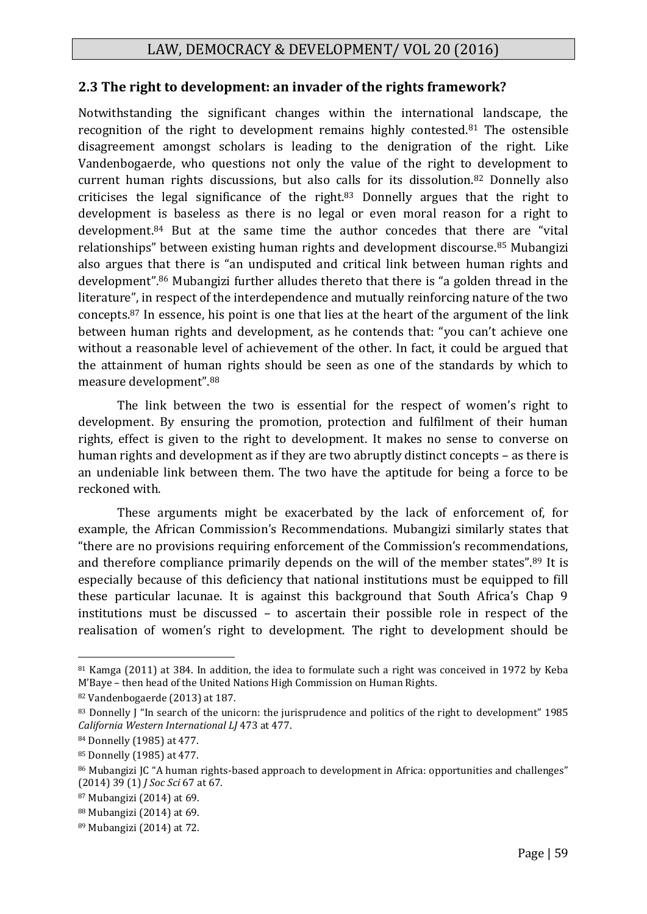## **2.3 The right to development: an invader of the rights framework?**

Notwithstanding the significant changes within the international landscape, the recognition of the right to development remains highly contested.<sup>81</sup> The ostensible disagreement amongst scholars is leading to the denigration of the right. Like Vandenbogaerde, who questions not only the value of the right to development to current human rights discussions, but also calls for its dissolution.<sup>82</sup> Donnelly also criticises the legal significance of the right. $83$  Donnelly argues that the right to development is baseless as there is no legal or even moral reason for a right to development.<sup>84</sup> But at the same time the author concedes that there are "vital relationships" between existing human rights and development discourse.<sup>85</sup> Mubangizi also argues that there is "an undisputed and critical link between human rights and development".<sup>86</sup> Mubangizi further alludes thereto that there is "a golden thread in the literature", in respect of the interdependence and mutually reinforcing nature of the two concepts.<sup>87</sup> In essence, his point is one that lies at the heart of the argument of the link between human rights and development, as he contends that: "you can't achieve one without a reasonable level of achievement of the other. In fact, it could be argued that the attainment of human rights should be seen as one of the standards by which to measure development".<sup>88</sup>

The link between the two is essential for the respect of women's right to development. By ensuring the promotion, protection and fulfilment of their human rights, effect is given to the right to development. It makes no sense to converse on human rights and development as if they are two abruptly distinct concepts – as there is an undeniable link between them. The two have the aptitude for being a force to be reckoned with.

These arguments might be exacerbated by the lack of enforcement of, for example, the African Commission's Recommendations. Mubangizi similarly states that "there are no provisions requiring enforcement of the Commission's recommendations, and therefore compliance primarily depends on the will of the member states".<sup>89</sup> It is especially because of this deficiency that national institutions must be equipped to fill these particular lacunae. It is against this background that South Africa's Chap 9 institutions must be discussed – to ascertain their possible role in respect of the realisation of women's right to development. The right to development should be

<sup>81</sup> Kamga (2011) at 384. In addition, the idea to formulate such a right was conceived in 1972 by Keba M'Baye – then head of the United Nations High Commission on Human Rights.

<sup>82</sup> Vandenbogaerde (2013) at 187.

<sup>83</sup> Donnelly J "In search of the unicorn: the jurisprudence and politics of the right to development" 1985 *California Western International LJ* 473 at 477.

<sup>84</sup> Donnelly (1985) at 477.

<sup>85</sup> Donnelly (1985) at 477.

<sup>86</sup> Mubangizi JC "A human rights-based approach to development in Africa: opportunities and challenges" (2014) 39 (1) *J Soc Sci* 67 at 67.

<sup>87</sup> Mubangizi (2014) at 69.

<sup>88</sup> Mubangizi (2014) at 69.

<sup>89</sup> Mubangizi (2014) at 72.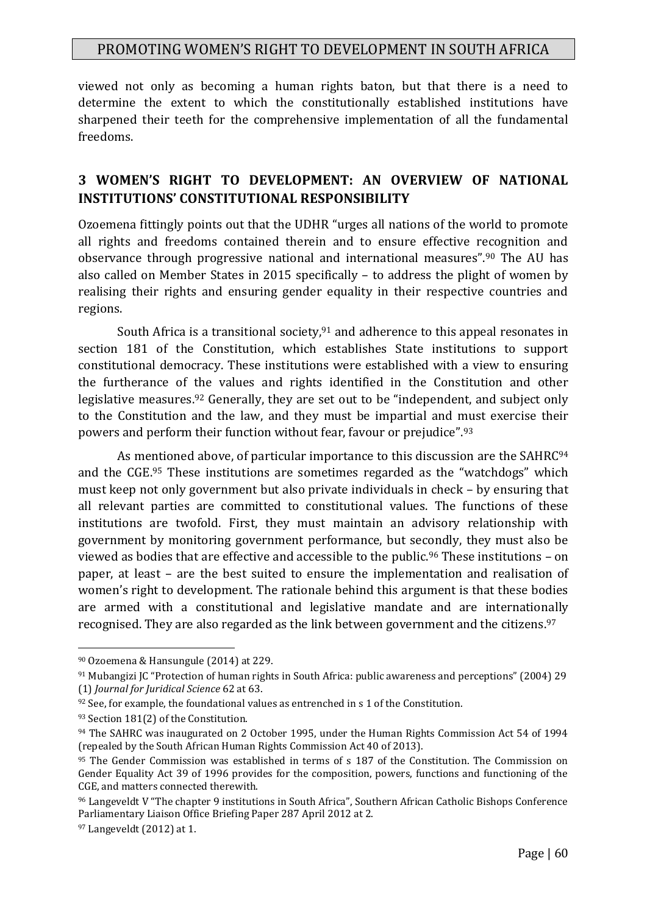viewed not only as becoming a human rights baton, but that there is a need to determine the extent to which the constitutionally established institutions have sharpened their teeth for the comprehensive implementation of all the fundamental freedoms.

## **3 WOMEN'S RIGHT TO DEVELOPMENT: AN OVERVIEW OF NATIONAL INSTITUTIONS' CONSTITUTIONAL RESPONSIBILITY**

Ozoemena fittingly points out that the UDHR "urges all nations of the world to promote all rights and freedoms contained therein and to ensure effective recognition and observance through progressive national and international measures".<sup>90</sup> The AU has also called on Member States in 2015 specifically – to address the plight of women by realising their rights and ensuring gender equality in their respective countries and regions.

South Africa is a transitional society, $91$  and adherence to this appeal resonates in section 181 of the Constitution, which establishes State institutions to support constitutional democracy. These institutions were established with a view to ensuring the furtherance of the values and rights identified in the Constitution and other legislative measures.<sup>92</sup> Generally, they are set out to be "independent, and subject only to the Constitution and the law, and they must be impartial and must exercise their powers and perform their function without fear, favour or prejudice".<sup>93</sup>

As mentioned above, of particular importance to this discussion are the SAHRC<sup>94</sup> and the CGE.<sup>95</sup> These institutions are sometimes regarded as the "watchdogs" which must keep not only government but also private individuals in check – by ensuring that all relevant parties are committed to constitutional values. The functions of these institutions are twofold. First, they must maintain an advisory relationship with government by monitoring government performance, but secondly, they must also be viewed as bodies that are effective and accessible to the public.<sup>96</sup> These institutions – on paper, at least – are the best suited to ensure the implementation and realisation of women's right to development. The rationale behind this argument is that these bodies are armed with a constitutional and legislative mandate and are internationally recognised. They are also regarded as the link between government and the citizens.<sup>97</sup>

<sup>90</sup> Ozoemena & Hansungule (2014) at 229.

<sup>91</sup> Mubangizi JC "Protection of human rights in South Africa: public awareness and perceptions" (2004) 29 (1) *Journal for Juridical Science* 62 at 63.

 $92$  See, for example, the foundational values as entrenched in s 1 of the Constitution.

<sup>93</sup> Section 181(2) of the Constitution.

<sup>94</sup> The SAHRC was inaugurated on 2 October 1995, under the Human Rights Commission Act 54 of 1994 (repealed by the South African Human Rights Commission Act 40 of 2013).

<sup>&</sup>lt;sup>95</sup> The Gender Commission was established in terms of s 187 of the Constitution. The Commission on Gender Equality Act 39 of 1996 provides for the composition, powers, functions and functioning of the CGE, and matters connected therewith.

<sup>96</sup> Langeveldt V "The chapter 9 institutions in South Africa", Southern African Catholic Bishops Conference Parliamentary Liaison Office Briefing Paper 287 April 2012 at 2.

<sup>97</sup> Langeveldt (2012) at 1.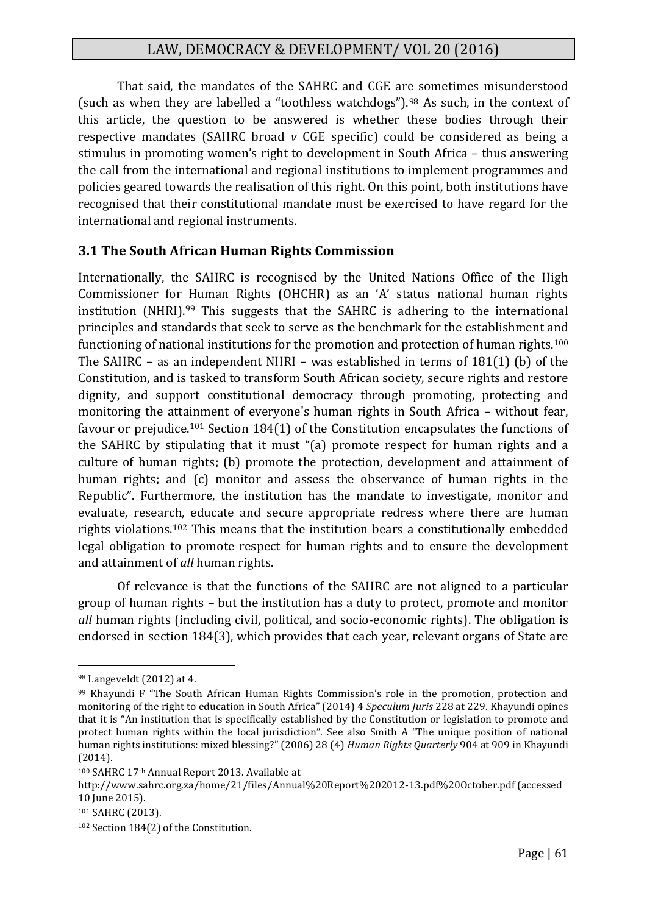That said, the mandates of the SAHRC and CGE are sometimes misunderstood (such as when they are labelled a "toothless watchdogs").<sup>98</sup> As such, in the context of this article, the question to be answered is whether these bodies through their respective mandates (SAHRC broad *v* CGE specific) could be considered as being a stimulus in promoting women's right to development in South Africa – thus answering the call from the international and regional institutions to implement programmes and policies geared towards the realisation of this right. On this point, both institutions have recognised that their constitutional mandate must be exercised to have regard for the international and regional instruments.

#### **3.1 The South African Human Rights Commission**

Internationally, the SAHRC is recognised by the United Nations Office of the High Commissioner for Human Rights (OHCHR) as an 'A' status national human rights institution (NHRI).<sup>99</sup> This suggests that the SAHRC is adhering to the international principles and standards that seek to serve as the benchmark for the establishment and functioning of national institutions for the promotion and protection of human rights.<sup>100</sup> The SAHRC – as an independent NHRI – was established in terms of 181(1) (b) of the Constitution, and is tasked to transform South African society, secure rights and restore dignity, and support constitutional democracy through promoting, protecting and monitoring the attainment of everyone's human rights in South Africa – without fear, favour or prejudice.<sup>101</sup> Section 184(1) of the Constitution encapsulates the functions of the SAHRC by stipulating that it must "(a) promote respect for human rights and a culture of human rights; (b) promote the protection, development and attainment of human rights; and (c) monitor and assess the observance of human rights in the Republic". Furthermore, the institution has the mandate to investigate, monitor and evaluate, research, educate and secure appropriate redress where there are human rights violations.<sup>102</sup> This means that the institution bears a constitutionally embedded legal obligation to promote respect for human rights and to ensure the development and attainment of *all* human rights.

Of relevance is that the functions of the SAHRC are not aligned to a particular group of human rights – but the institution has a duty to protect, promote and monitor *all* human rights (including civil, political, and socio-economic rights). The obligation is endorsed in section 184(3), which provides that each year, relevant organs of State are

<sup>98</sup> Langeveldt (2012) at 4.

<sup>99</sup> Khayundi F "The South African Human Rights Commission's role in the promotion, protection and monitoring of the right to education in South Africa" (2014) 4 *Speculum Juris* 228 at 229. Khayundi opines that it is "An institution that is specifically established by the Constitution or legislation to promote and protect human rights within the local jurisdiction". See also Smith A "The unique position of national human rights institutions: mixed blessing?" (2006) 28 (4) *Human Rights Quarterly* 904 at 909 in Khayundi (2014).

<sup>100</sup> SAHRC 17th Annual Report 2013. Available at

http://www.sahrc.org.za/home/21/files/Annual%20Report%202012-13.pdf%20October.pdf (accessed 10 June 2015).

<sup>101</sup> SAHRC (2013).

<sup>102</sup> Section 184(2) of the Constitution.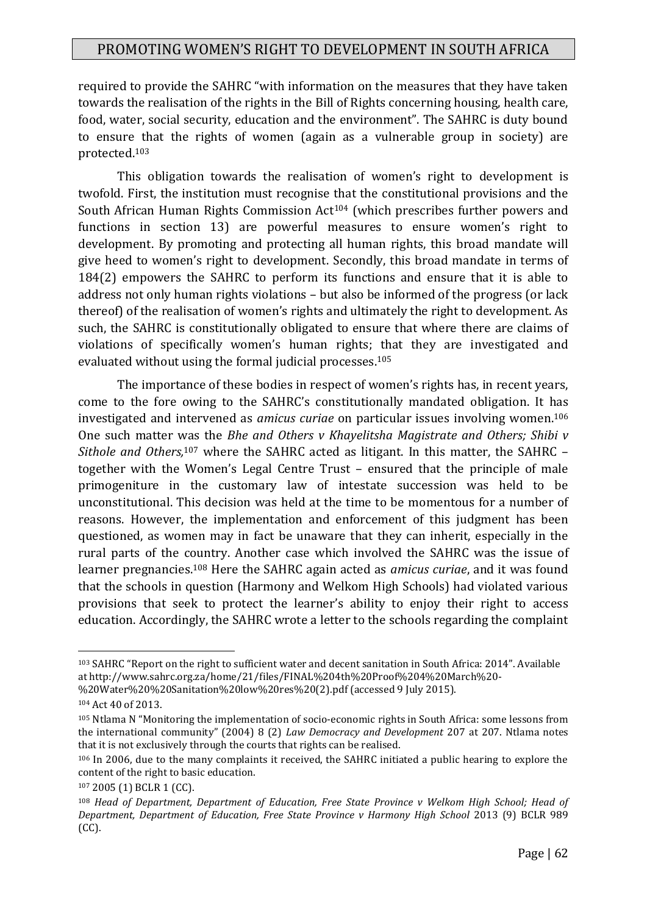required to provide the SAHRC "with information on the measures that they have taken towards the realisation of the rights in the Bill of Rights concerning housing, health care, food, water, social security, education and the environment". The SAHRC is duty bound to ensure that the rights of women (again as a vulnerable group in society) are protected.<sup>103</sup>

This obligation towards the realisation of women's right to development is twofold. First, the institution must recognise that the constitutional provisions and the South African Human Rights Commission Act<sup>104</sup> (which prescribes further powers and functions in section 13) are powerful measures to ensure women's right to development. By promoting and protecting all human rights, this broad mandate will give heed to women's right to development. Secondly, this broad mandate in terms of 184(2) empowers the SAHRC to perform its functions and ensure that it is able to address not only human rights violations – but also be informed of the progress (or lack thereof) of the realisation of women's rights and ultimately the right to development. As such, the SAHRC is constitutionally obligated to ensure that where there are claims of violations of specifically women's human rights; that they are investigated and evaluated without using the formal judicial processes.<sup>105</sup>

The importance of these bodies in respect of women's rights has, in recent years, come to the fore owing to the SAHRC's constitutionally mandated obligation. It has investigated and intervened as *amicus curiae* on particular issues involving women.<sup>106</sup> One such matter was the *Bhe and Others v Khayelitsha Magistrate and Others; Shibi v Sithole and Others,*<sup>107</sup> where the SAHRC acted as litigant. In this matter, the SAHRC – together with the Women's Legal Centre Trust – ensured that the principle of male primogeniture in the customary law of intestate succession was held to be unconstitutional. This decision was held at the time to be momentous for a number of reasons. However, the implementation and enforcement of this judgment has been questioned, as women may in fact be unaware that they can inherit, especially in the rural parts of the country. Another case which involved the SAHRC was the issue of learner pregnancies.<sup>108</sup> Here the SAHRC again acted as *amicus curiae*, and it was found that the schools in question (Harmony and Welkom High Schools) had violated various provisions that seek to protect the learner's ability to enjoy their right to access education. Accordingly, the SAHRC wrote a letter to the schools regarding the complaint

<sup>103</sup> SAHRC "Report on the right to sufficient water and decent sanitation in South Africa: 2014". Available at http://www.sahrc.org.za/home/21/files/FINAL%204th%20Proof%204%20March%20-

<sup>%20</sup>Water%20%20Sanitation%20low%20res%20(2).pdf (accessed 9 July 2015).

<sup>104</sup> Act 40 of 2013.

<sup>105</sup> Ntlama N "Monitoring the implementation of socio-economic rights in South Africa: some lessons from the international community" (2004) 8 (2) *Law Democracy and Development* 207 at 207. Ntlama notes that it is not exclusively through the courts that rights can be realised.

<sup>106</sup> In 2006, due to the many complaints it received, the SAHRC initiated a public hearing to explore the content of the right to basic education.

<sup>107</sup> 2005 (1) BCLR 1 (CC).

<sup>108</sup> *Head of Department, Department of Education, Free State Province v Welkom High School; Head of Department, Department of Education, Free State Province v Harmony High School 2013 (9) BCLR 989* (CC).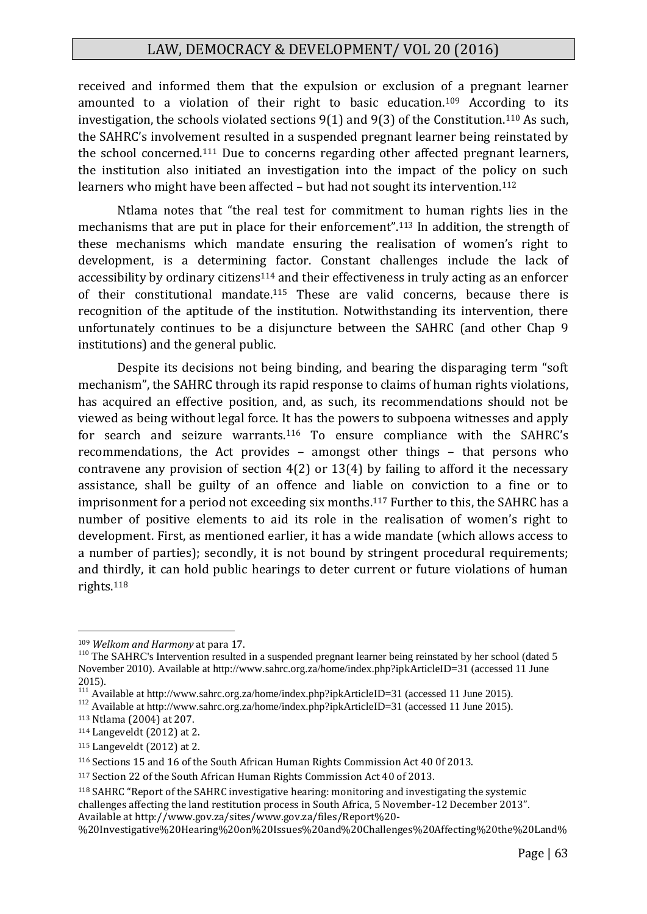received and informed them that the expulsion or exclusion of a pregnant learner amounted to a violation of their right to basic education.<sup>109</sup> According to its investigation, the schools violated sections 9(1) and 9(3) of the Constitution.<sup>110</sup> As such, the SAHRC's involvement resulted in a suspended pregnant learner being reinstated by the school concerned.<sup>111</sup> Due to concerns regarding other affected pregnant learners, the institution also initiated an investigation into the impact of the policy on such learners who might have been affected – but had not sought its intervention.<sup>112</sup>

Ntlama notes that "the real test for commitment to human rights lies in the mechanisms that are put in place for their enforcement".<sup>113</sup> In addition, the strength of these mechanisms which mandate ensuring the realisation of women's right to development, is a determining factor. Constant challenges include the lack of accessibility by ordinary citizens<sup>114</sup> and their effectiveness in truly acting as an enforcer of their constitutional mandate.<sup>115</sup> These are valid concerns, because there is recognition of the aptitude of the institution. Notwithstanding its intervention, there unfortunately continues to be a disjuncture between the SAHRC (and other Chap 9 institutions) and the general public.

Despite its decisions not being binding, and bearing the disparaging term "soft mechanism", the SAHRC through its rapid response to claims of human rights violations, has acquired an effective position, and, as such, its recommendations should not be viewed as being without legal force. It has the powers to subpoena witnesses and apply for search and seizure warrants.<sup>116</sup> To ensure compliance with the SAHRC's recommendations, the Act provides – amongst other things – that persons who contravene any provision of section 4(2) or 13(4) by failing to afford it the necessary assistance, shall be guilty of an offence and liable on conviction to a fine or to imprisonment for a period not exceeding six months.<sup>117</sup> Further to this, the SAHRC has a number of positive elements to aid its role in the realisation of women's right to development. First, as mentioned earlier, it has a wide mandate (which allows access to a number of parties); secondly, it is not bound by stringent procedural requirements; and thirdly, it can hold public hearings to deter current or future violations of human rights.<sup>118</sup>

1

<sup>118</sup> SAHRC "Report of the SAHRC investigative hearing: monitoring and investigating the systemic

challenges affecting the land restitution process in South Africa, 5 November-12 December 2013". Available at http://www.gov.za/sites/www.gov.za/files/Report%20-

<sup>109</sup> *Welkom and Harmony* at para 17.

<sup>&</sup>lt;sup>110</sup> The SAHRC's Intervention resulted in a suspended pregnant learner being reinstated by her school (dated 5 November 2010). Available at http://www.sahrc.org.za/home/index.php?ipkArticleID=31 (accessed 11 June 2015).

<sup>111</sup> Available at http://www.sahrc.org.za/home/index.php?ipkArticleID=31 (accessed 11 June 2015).

<sup>&</sup>lt;sup>112</sup> Available at http://www.sahrc.org.za/home/index.php?ipkArticleID=31 (accessed 11 June 2015).

<sup>113</sup> Ntlama (2004) at 207.

<sup>114</sup> Langeveldt (2012) at 2.

<sup>115</sup> Langeveldt (2012) at 2.

<sup>116</sup> Sections 15 and 16 of the South African Human Rights Commission Act 40 0f 2013.

<sup>117</sup> Section 22 of the South African Human Rights Commission Act 40 of 2013.

<sup>%20</sup>Investigative%20Hearing%20on%20Issues%20and%20Challenges%20Affecting%20the%20Land%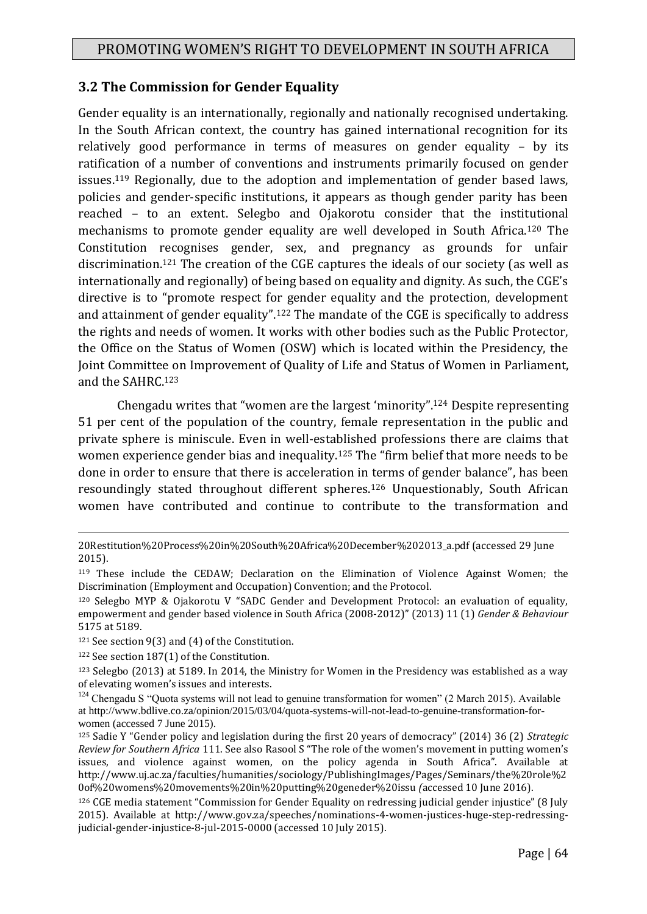## **3.2 The Commission for Gender Equality**

Gender equality is an internationally, regionally and nationally recognised undertaking. In the South African context, the country has gained international recognition for its relatively good performance in terms of measures on gender equality – by its ratification of a number of conventions and instruments primarily focused on gender issues.<sup>119</sup> Regionally, due to the adoption and implementation of gender based laws, policies and gender-specific institutions, it appears as though gender parity has been reached – to an extent. Selegbo and Ojakorotu consider that the institutional mechanisms to promote gender equality are well developed in South Africa.<sup>120</sup> The Constitution recognises gender, sex, and pregnancy as grounds for unfair discrimination.<sup>121</sup> The creation of the CGE captures the ideals of our society (as well as internationally and regionally) of being based on equality and dignity. As such, the CGE's directive is to "promote respect for gender equality and the protection, development and attainment of gender equality".<sup>122</sup> The mandate of the CGE is specifically to address the rights and needs of women. It works with other bodies such as the Public Protector, the Office on the Status of Women (OSW) which is located within the Presidency, the Joint Committee on Improvement of Quality of Life and Status of Women in Parliament, and the SAHRC.<sup>123</sup>

Chengadu writes that "women are the largest 'minority".<sup>124</sup> Despite representing 51 per cent of the population of the country, female representation in the public and private sphere is miniscule. Even in well-established professions there are claims that women experience gender bias and inequality.<sup>125</sup> The "firm belief that more needs to be done in order to ensure that there is acceleration in terms of gender balance", has been resoundingly stated throughout different spheres.<sup>126</sup> Unquestionably, South African women have contributed and continue to contribute to the transformation and

<sup>20</sup>Restitution%20Process%20in%20South%20Africa%20December%202013\_a.pdf (accessed 29 June 2015).

<sup>119</sup> These include the CEDAW; Declaration on the Elimination of Violence Against Women; the Discrimination (Employment and Occupation) Convention; and the Protocol.

<sup>120</sup> Selegbo MYP & Ojakorotu V "SADC Gender and Development Protocol: an evaluation of equality, empowerment and gender based violence in South Africa (2008-2012)" (2013) 11 (1) *Gender & Behaviour* 5175 at 5189.

<sup>121</sup> See section 9(3) and (4) of the Constitution.

<sup>&</sup>lt;sup>122</sup> See section 187(1) of the Constitution.

<sup>123</sup> Selegbo (2013) at 5189. In 2014, the Ministry for Women in the Presidency was established as a way of elevating women's issues and interests.

<sup>&</sup>lt;sup>124</sup> Chengadu S "Quota systems will not lead to genuine transformation for women" (2 March 2015). Available at http://www.bdlive.co.za/opinion/2015/03/04/quota-systems-will-not-lead-to-genuine-transformation-forwomen (accessed 7 June 2015).

<sup>125</sup> Sadie Y "Gender policy and legislation during the first 20 years of democracy" (2014) 36 (2) *Strategic Review for Southern Africa* 111. See also Rasool S "The role of the women's movement in putting women's issues, and violence against women, on the policy agenda in South Africa". Available at http://www.uj.ac.za/faculties/humanities/sociology/PublishingImages/Pages/Seminars/the%20role%2 0of%20womens%20movements%20in%20putting%20geneder%20issu *(*accessed 10 June 2016).

<sup>126</sup> CGE media statement "Commission for Gender Equality on redressing judicial gender injustice" (8 July 2015). Available at http://www.gov.za/speeches/nominations-4-women-justices-huge-step-redressingjudicial-gender-injustice-8-jul-2015-0000 (accessed 10 July 2015).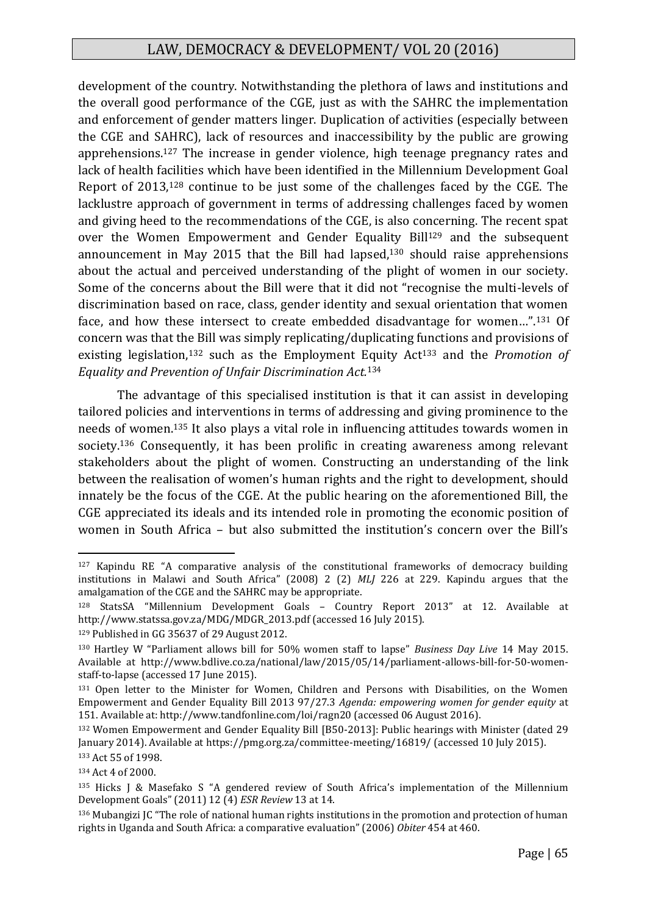development of the country. Notwithstanding the plethora of laws and institutions and the overall good performance of the CGE, just as with the SAHRC the implementation and enforcement of gender matters linger. Duplication of activities (especially between the CGE and SAHRC), lack of resources and inaccessibility by the public are growing apprehensions.<sup>127</sup> The increase in gender violence, high teenage pregnancy rates and lack of health facilities which have been identified in the Millennium Development Goal Report of 2013,<sup>128</sup> continue to be just some of the challenges faced by the CGE. The lacklustre approach of government in terms of addressing challenges faced by women and giving heed to the recommendations of the CGE, is also concerning. The recent spat over the Women Empowerment and Gender Equality Bill<sup>129</sup> and the subsequent announcement in May 2015 that the Bill had lapsed,<sup>130</sup> should raise apprehensions about the actual and perceived understanding of the plight of women in our society. Some of the concerns about the Bill were that it did not "recognise the multi-levels of discrimination based on race, class, gender identity and sexual orientation that women face, and how these intersect to create embedded disadvantage for women…".<sup>131</sup> Of concern was that the Bill was simply replicating/duplicating functions and provisions of existing legislation,<sup>132</sup> such as the Employment Equity Act<sup>133</sup> and the *Promotion of Equality and Prevention of Unfair Discrimination Act.*<sup>134</sup>

The advantage of this specialised institution is that it can assist in developing tailored policies and interventions in terms of addressing and giving prominence to the needs of women.<sup>135</sup> It also plays a vital role in influencing attitudes towards women in society.<sup>136</sup> Consequently, it has been prolific in creating awareness among relevant stakeholders about the plight of women. Constructing an understanding of the link between the realisation of women's human rights and the right to development, should innately be the focus of the CGE. At the public hearing on the aforementioned Bill, the CGE appreciated its ideals and its intended role in promoting the economic position of women in South Africa – but also submitted the institution's concern over the Bill's

<sup>127</sup> Kapindu RE "A comparative analysis of the constitutional frameworks of democracy building institutions in Malawi and South Africa" (2008) 2 (2) *MLJ* 226 at 229. Kapindu argues that the amalgamation of the CGE and the SAHRC may be appropriate.

<sup>128</sup> StatsSA "Millennium Development Goals – Country Report 2013" at 12. Available at http://www.statssa.gov.za/MDG/MDGR\_2013.pdf (accessed 16 July 2015).

<sup>129</sup> Published in GG 35637 of 29 August 2012.

<sup>130</sup> Hartley W "Parliament allows bill for 50% women staff to lapse" *Business Day Live* 14 May 2015. Available at http://www.bdlive.co.za/national/law/2015/05/14/parliament-allows-bill-for-50-womenstaff-to-lapse (accessed 17 June 2015).

<sup>131</sup> Open letter to the Minister for Women, Children and Persons with Disabilities, on the Women Empowerment and Gender Equality Bill 2013 97/27.3 *Agenda: empowering women for gender equity* at 151. Available at: http://www.tandfonline.com/loi/ragn20 (accessed 06 August 2016).

<sup>132</sup> Women Empowerment and Gender Equality Bill [B50-2013]: Public hearings with Minister (dated 29 January 2014). Available at https://pmg.org.za/committee-meeting/16819/ (accessed 10 July 2015). <sup>133</sup> Act 55 of 1998.

<sup>134</sup> Act 4 of 2000.

<sup>135</sup> Hicks J & Masefako S "A gendered review of South Africa's implementation of the Millennium Development Goals" (2011) 12 (4) *ESR Review* 13 at 14.

<sup>136</sup> Mubangizi JC "The role of national human rights institutions in the promotion and protection of human rights in Uganda and South Africa: a comparative evaluation" (2006) *Obiter* 454 at 460.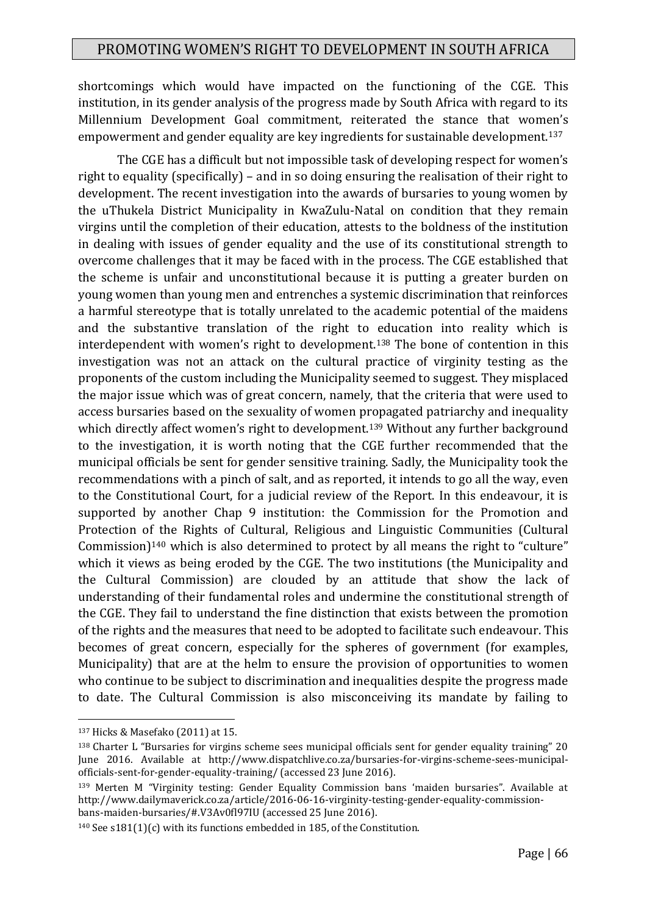shortcomings which would have impacted on the functioning of the CGE. This institution, in its gender analysis of the progress made by South Africa with regard to its Millennium Development Goal commitment, reiterated the stance that women's empowerment and gender equality are key ingredients for sustainable development.<sup>137</sup>

The CGE has a difficult but not impossible task of developing respect for women's right to equality (specifically) – and in so doing ensuring the realisation of their right to development. The recent investigation into the awards of bursaries to young women by the uThukela District Municipality in KwaZulu-Natal on condition that they remain virgins until the completion of their education, attests to the boldness of the institution in dealing with issues of gender equality and the use of its constitutional strength to overcome challenges that it may be faced with in the process. The CGE established that the scheme is unfair and unconstitutional because it is putting a greater burden on young women than young men and entrenches a systemic discrimination that reinforces a harmful stereotype that is totally unrelated to the academic potential of the maidens and the substantive translation of the right to education into reality which is interdependent with women's right to development.<sup>138</sup> The bone of contention in this investigation was not an attack on the cultural practice of virginity testing as the proponents of the custom including the Municipality seemed to suggest. They misplaced the major issue which was of great concern, namely, that the criteria that were used to access bursaries based on the sexuality of women propagated patriarchy and inequality which directly affect women's right to development.<sup>139</sup> Without any further background to the investigation, it is worth noting that the CGE further recommended that the municipal officials be sent for gender sensitive training. Sadly, the Municipality took the recommendations with a pinch of salt, and as reported, it intends to go all the way, even to the Constitutional Court, for a judicial review of the Report. In this endeavour, it is supported by another Chap 9 institution: the Commission for the Promotion and Protection of the Rights of Cultural, Religious and Linguistic Communities (Cultural Commission)<sup>140</sup> which is also determined to protect by all means the right to "culture" which it views as being eroded by the CGE. The two institutions (the Municipality and the Cultural Commission) are clouded by an attitude that show the lack of understanding of their fundamental roles and undermine the constitutional strength of the CGE. They fail to understand the fine distinction that exists between the promotion of the rights and the measures that need to be adopted to facilitate such endeavour. This becomes of great concern, especially for the spheres of government (for examples, Municipality) that are at the helm to ensure the provision of opportunities to women who continue to be subject to discrimination and inequalities despite the progress made to date. The Cultural Commission is also misconceiving its mandate by failing to

<sup>137</sup> Hicks & Masefako (2011) at 15.

<sup>138</sup> Charter L "Bursaries for virgins scheme sees municipal officials sent for gender equality training" 20 June 2016. Available at http://www.dispatchlive.co.za/bursaries-for-virgins-scheme-sees-municipalofficials-sent-for-gender-equality-training/ (accessed 23 June 2016).

<sup>139</sup> Merten M "Virginity testing: Gender Equality Commission bans 'maiden bursaries". Available at http://www.dailymaverick.co.za/article/2016-06-16-virginity-testing-gender-equality-commissionbans-maiden-bursaries/#.V3Av0fl97IU (accessed 25 June 2016).

<sup>140</sup> See s181(1)(c) with its functions embedded in 185, of the Constitution.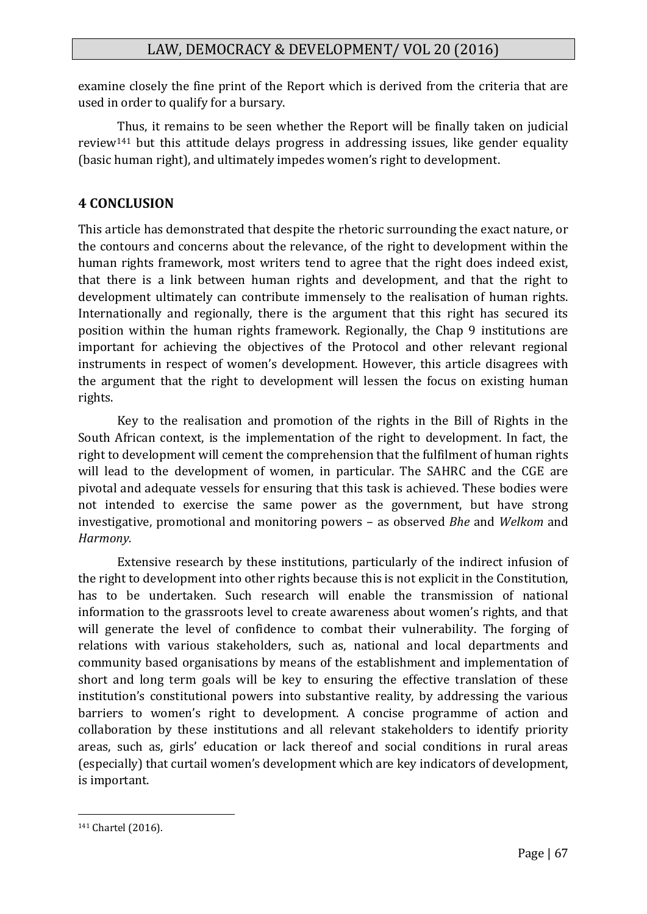examine closely the fine print of the Report which is derived from the criteria that are used in order to qualify for a bursary.

Thus, it remains to be seen whether the Report will be finally taken on judicial review<sup>141</sup> but this attitude delays progress in addressing issues, like gender equality (basic human right), and ultimately impedes women's right to development.

## **4 CONCLUSION**

This article has demonstrated that despite the rhetoric surrounding the exact nature, or the contours and concerns about the relevance, of the right to development within the human rights framework, most writers tend to agree that the right does indeed exist, that there is a link between human rights and development, and that the right to development ultimately can contribute immensely to the realisation of human rights. Internationally and regionally, there is the argument that this right has secured its position within the human rights framework. Regionally, the Chap 9 institutions are important for achieving the objectives of the Protocol and other relevant regional instruments in respect of women's development. However, this article disagrees with the argument that the right to development will lessen the focus on existing human rights.

Key to the realisation and promotion of the rights in the Bill of Rights in the South African context, is the implementation of the right to development. In fact, the right to development will cement the comprehension that the fulfilment of human rights will lead to the development of women, in particular. The SAHRC and the CGE are pivotal and adequate vessels for ensuring that this task is achieved. These bodies were not intended to exercise the same power as the government, but have strong investigative, promotional and monitoring powers – as observed *Bhe* and *Welkom* and *Harmony.*

Extensive research by these institutions, particularly of the indirect infusion of the right to development into other rights because this is not explicit in the Constitution, has to be undertaken. Such research will enable the transmission of national information to the grassroots level to create awareness about women's rights, and that will generate the level of confidence to combat their vulnerability. The forging of relations with various stakeholders, such as, national and local departments and community based organisations by means of the establishment and implementation of short and long term goals will be key to ensuring the effective translation of these institution's constitutional powers into substantive reality, by addressing the various barriers to women's right to development. A concise programme of action and collaboration by these institutions and all relevant stakeholders to identify priority areas, such as, girls' education or lack thereof and social conditions in rural areas (especially) that curtail women's development which are key indicators of development, is important.

<sup>141</sup> Chartel (2016).